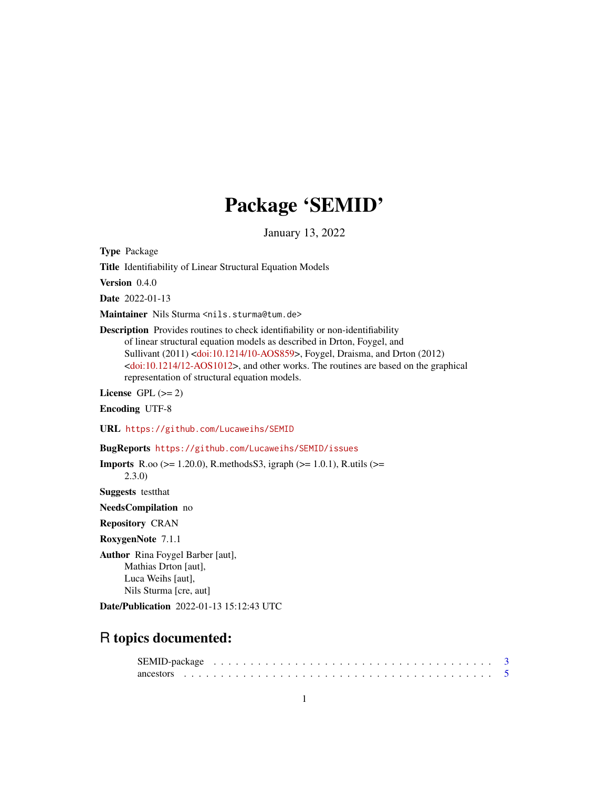# Package 'SEMID'

January 13, 2022

<span id="page-0-0"></span>Type Package

Title Identifiability of Linear Structural Equation Models

Version 0.4.0

Date 2022-01-13

Maintainer Nils Sturma <nils.sturma@tum.de>

Description Provides routines to check identifiability or non-identifiability of linear structural equation models as described in Drton, Foygel, and Sullivant (2011) [<doi:10.1214/10-AOS859>](https://doi.org/10.1214/10-AOS859), Foygel, Draisma, and Drton (2012) [<doi:10.1214/12-AOS1012>](https://doi.org/10.1214/12-AOS1012), and other works. The routines are based on the graphical representation of structural equation models.

License GPL  $(>= 2)$ 

Encoding UTF-8

URL <https://github.com/Lucaweihs/SEMID>

BugReports <https://github.com/Lucaweihs/SEMID/issues>

**Imports** R.oo ( $>= 1.20.0$ ), R.methods S3, igraph ( $>= 1.0.1$ ), R.utils ( $>=$ 2.3.0)

Suggests testthat

NeedsCompilation no

Repository CRAN

RoxygenNote 7.1.1

Author Rina Foygel Barber [aut], Mathias Drton [aut], Luca Weihs [aut], Nils Sturma [cre, aut]

Date/Publication 2022-01-13 15:12:43 UTC

# R topics documented: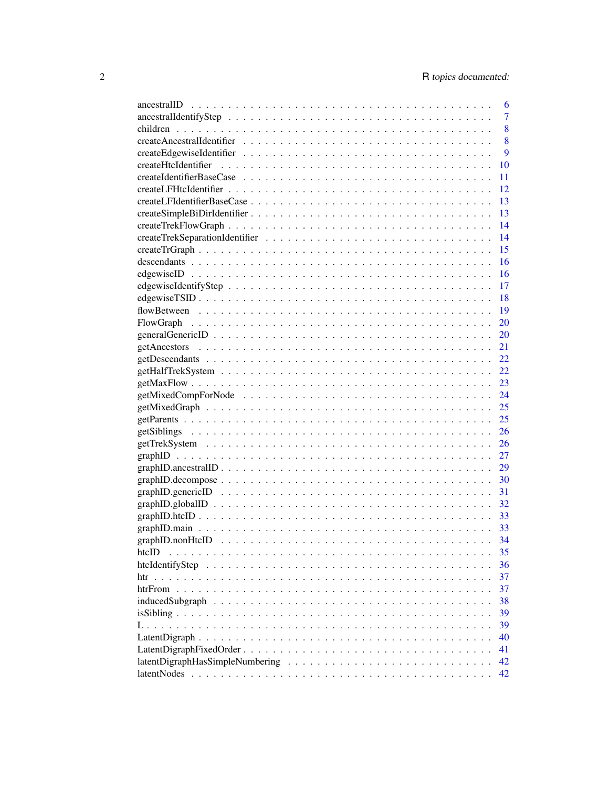|                                                                                                                    | 6              |
|--------------------------------------------------------------------------------------------------------------------|----------------|
|                                                                                                                    | $\overline{7}$ |
|                                                                                                                    | 8              |
|                                                                                                                    | 8              |
|                                                                                                                    | 9              |
|                                                                                                                    | 10             |
|                                                                                                                    | 11             |
|                                                                                                                    | 12             |
|                                                                                                                    | 13             |
|                                                                                                                    | 13             |
|                                                                                                                    | 14             |
|                                                                                                                    | 14             |
|                                                                                                                    | 15             |
|                                                                                                                    | 16             |
|                                                                                                                    | 16             |
|                                                                                                                    | 17             |
|                                                                                                                    | 18             |
|                                                                                                                    | 19             |
|                                                                                                                    | 20             |
|                                                                                                                    | 20             |
|                                                                                                                    | 21             |
|                                                                                                                    | 22             |
|                                                                                                                    | 22             |
|                                                                                                                    | 23             |
|                                                                                                                    |                |
|                                                                                                                    |                |
|                                                                                                                    | 25             |
|                                                                                                                    | 26             |
|                                                                                                                    |                |
|                                                                                                                    |                |
|                                                                                                                    |                |
| $graph ID.decompose \ldots \ldots \ldots \ldots \ldots \ldots \ldots \ldots \ldots \ldots \ldots \ldots \ldots 30$ |                |
|                                                                                                                    | 31             |
|                                                                                                                    |                |
|                                                                                                                    |                |
|                                                                                                                    |                |
|                                                                                                                    |                |
| htcID                                                                                                              | 35             |
|                                                                                                                    | 36             |
| htr                                                                                                                | 37             |
|                                                                                                                    | 37             |
|                                                                                                                    | 38             |
|                                                                                                                    | 39             |
|                                                                                                                    | 39             |
|                                                                                                                    | 40             |
|                                                                                                                    | 41             |
|                                                                                                                    | 42             |
|                                                                                                                    | 42             |
|                                                                                                                    |                |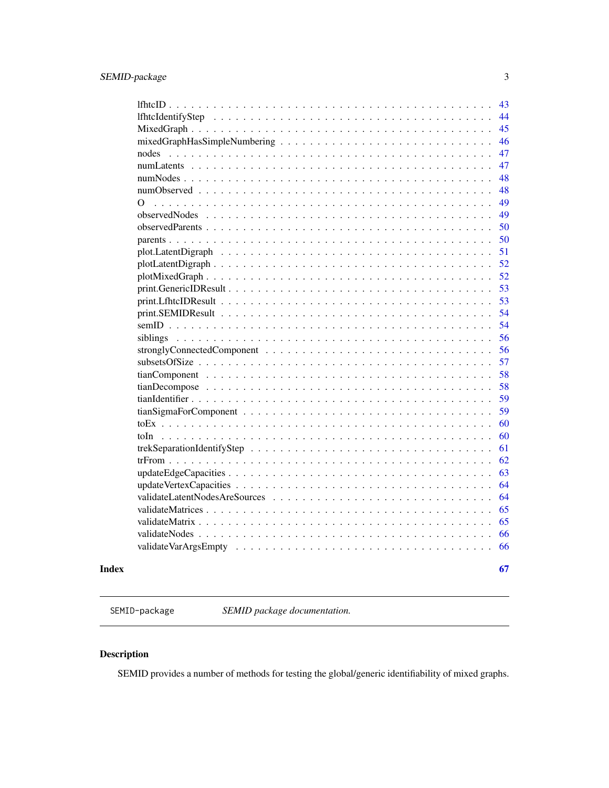<span id="page-2-0"></span>

| 43                                                                                                               |
|------------------------------------------------------------------------------------------------------------------|
| 44                                                                                                               |
| 45                                                                                                               |
| 46                                                                                                               |
| 47                                                                                                               |
| 47                                                                                                               |
| 48                                                                                                               |
| 48                                                                                                               |
| 49<br>Ω                                                                                                          |
| 49<br>observedNodes                                                                                              |
| 50                                                                                                               |
| 50                                                                                                               |
| 51                                                                                                               |
| 52                                                                                                               |
| 52                                                                                                               |
| 53                                                                                                               |
| 53                                                                                                               |
| 54                                                                                                               |
| 54                                                                                                               |
| 56                                                                                                               |
| 56<br>stronglyConnectedComponent $\dots \dots \dots \dots \dots \dots \dots \dots \dots \dots \dots \dots \dots$ |
| 57                                                                                                               |
| 58                                                                                                               |
| 58                                                                                                               |
| 59                                                                                                               |
| 59                                                                                                               |
| 60                                                                                                               |
| 60<br>toIn.                                                                                                      |
| 61                                                                                                               |
| 62                                                                                                               |
| 63                                                                                                               |
| 64                                                                                                               |
| 64                                                                                                               |
| 65                                                                                                               |
| 65                                                                                                               |
| 66                                                                                                               |
| 66                                                                                                               |
|                                                                                                                  |

#### **Index** [67](#page-66-0)

SEMID-package *SEMID package documentation.*

# Description

SEMID provides a number of methods for testing the global/generic identifiability of mixed graphs.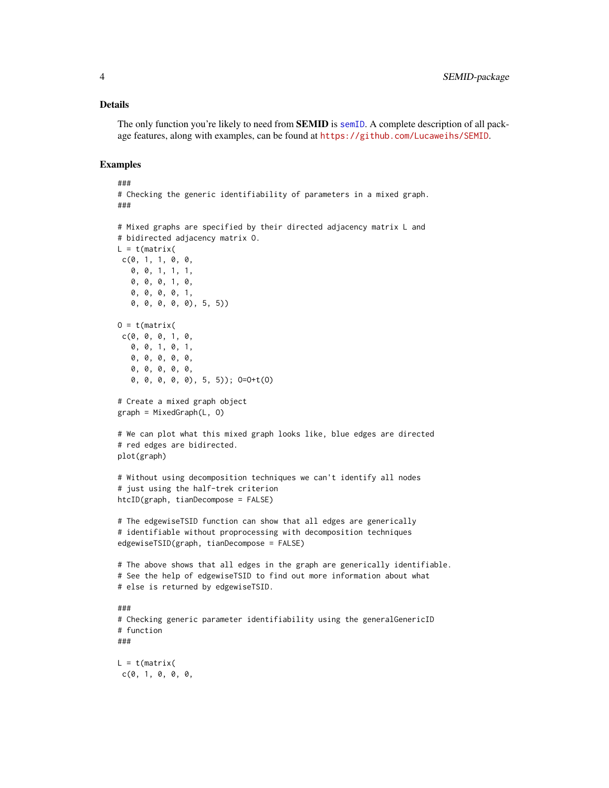#### Details

The only function you're likely to need from **SEMID** is [semID](#page-53-1). A complete description of all package features, along with examples, can be found at <https://github.com/Lucaweihs/SEMID>.

#### Examples

```
###
# Checking the generic identifiability of parameters in a mixed graph.
###
# Mixed graphs are specified by their directed adjacency matrix L and
# bidirected adjacency matrix O.
L = t(matrix)c(0, 1, 1, 0, 0,0, 0, 1, 1, 1,
   0, 0, 0, 1, 0,
   0, 0, 0, 0, 1,
   0, 0, 0, 0, 0), 5, 5))
0 = t(matrix)c(0, 0, 0, 1, 0,0, 0, 1, 0, 1,
   0, 0, 0, 0, 0,
   0, 0, 0, 0, 0,
   0, 0, 0, 0, 0), 5, 5)); O=O+t(O)
# Create a mixed graph object
graph = MixedGraph(L, O)
# We can plot what this mixed graph looks like, blue edges are directed
# red edges are bidirected.
plot(graph)
# Without using decomposition techniques we can't identify all nodes
# just using the half-trek criterion
htcID(graph, tianDecompose = FALSE)
# The edgewiseTSID function can show that all edges are generically
# identifiable without proprocessing with decomposition techniques
edgewiseTSID(graph, tianDecompose = FALSE)
# The above shows that all edges in the graph are generically identifiable.
# See the help of edgewiseTSID to find out more information about what
# else is returned by edgewiseTSID.
###
# Checking generic parameter identifiability using the generalGenericID
# function
###
L = t(matrix)c(0, 1, 0, 0, 0,
```
<span id="page-3-0"></span>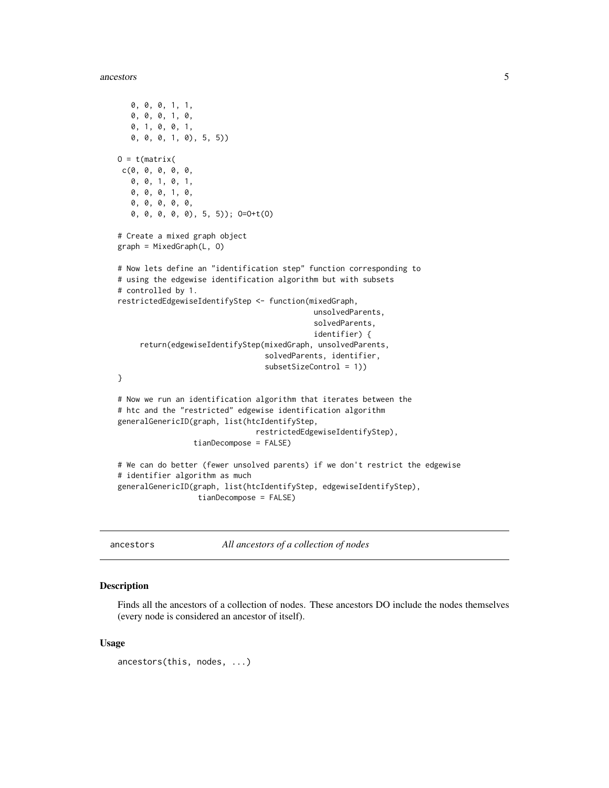#### <span id="page-4-0"></span>ancestors 5

```
0, 0, 0, 1, 1,
  0, 0, 0, 1, 0,
  0, 1, 0, 0, 1,
  0, 0, 0, 1, 0), 5, 5))
0 = t(matrix)c(0, 0, 0, 0, 0,
  0, 0, 1, 0, 1,
  0, 0, 0, 1, 0,
  0, 0, 0, 0, 0,
  0, 0, 0, 0, 0), 5, 5)); O=O+t(O)
# Create a mixed graph object
graph = MixedGraph(L, O)
# Now lets define an "identification step" function corresponding to
# using the edgewise identification algorithm but with subsets
# controlled by 1.
restrictedEdgewiseIdentifyStep <- function(mixedGraph,
                                            unsolvedParents,
                                            solvedParents,
                                            identifier) {
     return(edgewiseIdentifyStep(mixedGraph, unsolvedParents,
                                 solvedParents, identifier,
                                 subsetSizeControl = 1))
}
# Now we run an identification algorithm that iterates between the
# htc and the "restricted" edgewise identification algorithm
generalGenericID(graph, list(htcIdentifyStep,
                               restrictedEdgewiseIdentifyStep),
                 tianDecompose = FALSE)
# We can do better (fewer unsolved parents) if we don't restrict the edgewise
# identifier algorithm as much
generalGenericID(graph, list(htcIdentifyStep, edgewiseIdentifyStep),
                  tianDecompose = FALSE)
```
ancestors *All ancestors of a collection of nodes*

#### Description

Finds all the ancestors of a collection of nodes. These ancestors DO include the nodes themselves (every node is considered an ancestor of itself).

#### Usage

ancestors(this, nodes, ...)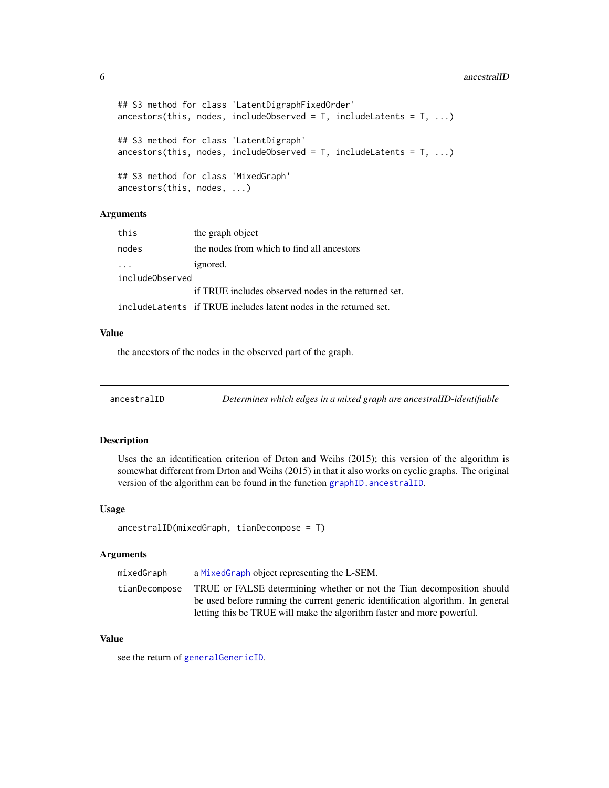#### 6 ancestralID

```
## S3 method for class 'LatentDigraphFixedOrder'
ancestors(this, nodes, includeObserved = T, includeLatents = T, ...)## S3 method for class 'LatentDigraph'
ancestors(this, nodes, includeObserved = T, includeLatents = T, ...)## S3 method for class 'MixedGraph'
ancestors(this, nodes, ...)
```
# Arguments

| this            | the graph object                                                   |
|-----------------|--------------------------------------------------------------------|
| nodes           | the nodes from which to find all ancestors                         |
|                 | ignored.                                                           |
| includeObserved |                                                                    |
|                 | if TRUE includes observed nodes in the returned set.               |
|                 | include Latents if TRUE includes latent nodes in the returned set. |

#### Value

the ancestors of the nodes in the observed part of the graph.

ancestralID *Determines which edges in a mixed graph are ancestralID-identifiable*

#### Description

Uses the an identification criterion of Drton and Weihs (2015); this version of the algorithm is somewhat different from Drton and Weihs (2015) in that it also works on cyclic graphs. The original version of the algorithm can be found in the function graphID. ancestralID.

#### Usage

```
ancestralID(mixedGraph, tianDecompose = T)
```
#### Arguments

| mixedGraph    | a MixedGraph object representing the L-SEM.                                     |
|---------------|---------------------------------------------------------------------------------|
| tianDecompose | TRUE or FALSE determining whether or not the Tian decomposition should          |
|               | be used before running the current generic identification algorithm. In general |
|               | letting this be TRUE will make the algorithm faster and more powerful.          |

#### Value

see the return of [generalGenericID](#page-19-1).

<span id="page-5-0"></span>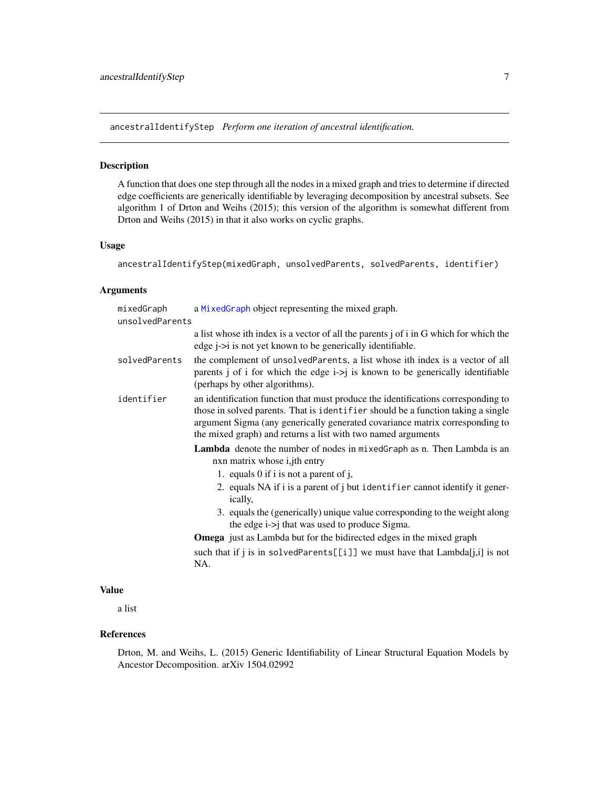<span id="page-6-0"></span>ancestralIdentifyStep *Perform one iteration of ancestral identification.*

#### Description

A function that does one step through all the nodes in a mixed graph and tries to determine if directed edge coefficients are generically identifiable by leveraging decomposition by ancestral subsets. See algorithm 1 of Drton and Weihs (2015); this version of the algorithm is somewhat different from Drton and Weihs (2015) in that it also works on cyclic graphs.

# Usage

```
ancestralIdentifyStep(mixedGraph, unsolvedParents, solvedParents, identifier)
```
# Arguments

| mixedGraph<br>unsolvedParents | a MixedGraph object representing the mixed graph.                                                                                                                                                                                                                                                                                                                                                                                                                                |
|-------------------------------|----------------------------------------------------------------------------------------------------------------------------------------------------------------------------------------------------------------------------------------------------------------------------------------------------------------------------------------------------------------------------------------------------------------------------------------------------------------------------------|
|                               | a list whose ith index is a vector of all the parents j of i in G which for which the<br>edge $i > i$ is not yet known to be generically identifiable.                                                                                                                                                                                                                                                                                                                           |
| solvedParents                 | the complement of unsolved Parents, a list whose ith index is a vector of all<br>parents j of i for which the edge $i > j$ is known to be generically identifiable<br>(perhaps by other algorithms).                                                                                                                                                                                                                                                                             |
| identifier                    | an identification function that must produce the identifications corresponding to<br>those in solved parents. That is identifier should be a function taking a single<br>argument Sigma (any generically generated covariance matrix corresponding to<br>the mixed graph) and returns a list with two named arguments                                                                                                                                                            |
|                               | <b>Lambda</b> denote the number of nodes in mixed Graph as n. Then Lambda is an<br>nxn matrix whose <i>i</i> , jth entry<br>1. equals 0 if i is not a parent of j,<br>2. equals NA if i is a parent of j but identifier cannot identify it gener-<br>ically,<br>3. equals the (generically) unique value corresponding to the weight along<br>the edge $i$ - $>j$ that was used to produce Sigma.<br><b>Omega</b> just as Lambda but for the bidirected edges in the mixed graph |
|                               | such that if j is in solvedParents[[i]] we must have that $Lambda[i,i]$ is not<br>NA.                                                                                                                                                                                                                                                                                                                                                                                            |

#### Value

a list

# References

Drton, M. and Weihs, L. (2015) Generic Identifiability of Linear Structural Equation Models by Ancestor Decomposition. arXiv 1504.02992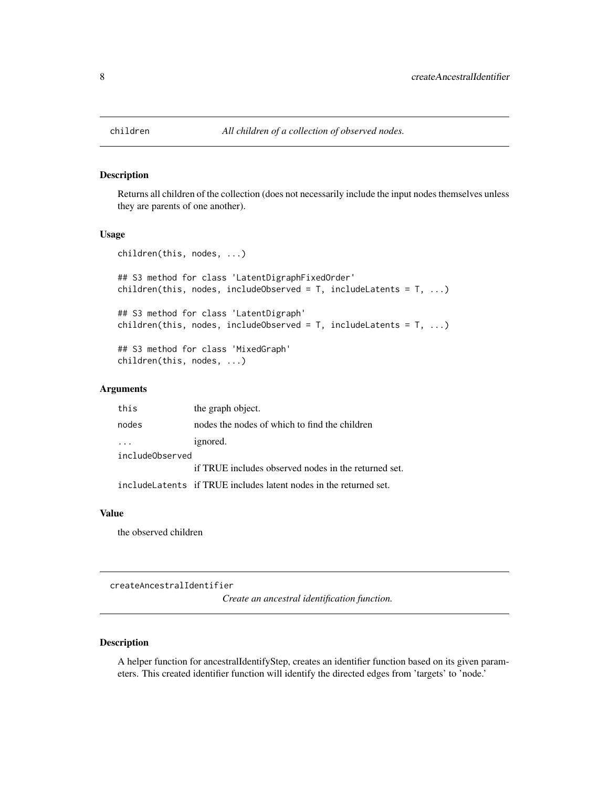<span id="page-7-0"></span>

Returns all children of the collection (does not necessarily include the input nodes themselves unless they are parents of one another).

#### Usage

```
children(this, nodes, ...)
## S3 method for class 'LatentDigraphFixedOrder'
children(this, nodes, includeObserved = T, includeLatents = T, ...)
## S3 method for class 'LatentDigraph'
children(this, nodes, includeObserved = T, includeLatents = T, ...)
## S3 method for class 'MixedGraph'
children(this, nodes, ...)
```
#### Arguments

| this            | the graph object.                                                  |  |  |  |  |
|-----------------|--------------------------------------------------------------------|--|--|--|--|
| nodes           | nodes the nodes of which to find the children                      |  |  |  |  |
|                 | ignored.                                                           |  |  |  |  |
| includeObserved |                                                                    |  |  |  |  |
|                 | if TRUE includes observed nodes in the returned set.               |  |  |  |  |
|                 | include Latents if TRUE includes latent nodes in the returned set. |  |  |  |  |

#### Value

the observed children

createAncestralIdentifier

*Create an ancestral identification function.*

# Description

A helper function for ancestralIdentifyStep, creates an identifier function based on its given parameters. This created identifier function will identify the directed edges from 'targets' to 'node.'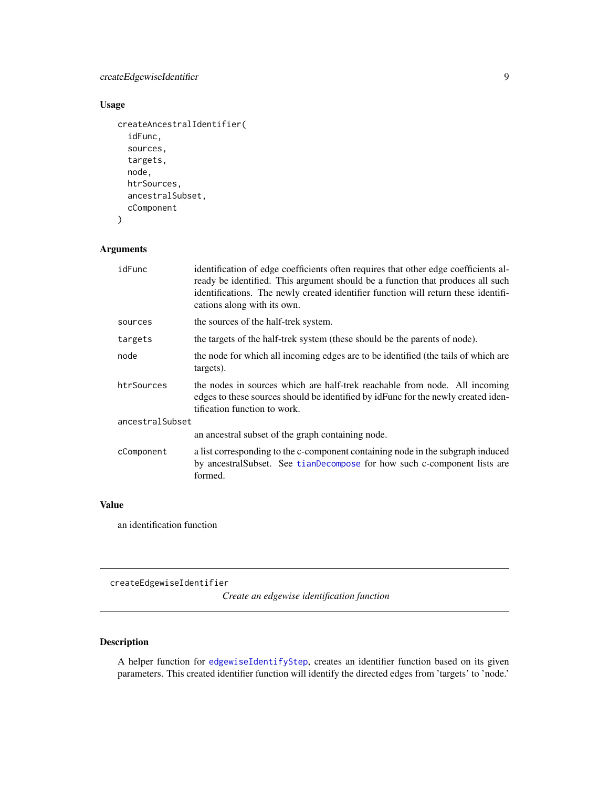# <span id="page-8-0"></span>createEdgewiseIdentifier 9

# Usage

```
createAncestralIdentifier(
  idFunc,
  sources,
  targets,
  node,
  htrSources,
  ancestralSubset,
  cComponent
```

```
\mathcal{L}
```
# Arguments

| idFunc          | identification of edge coefficients often requires that other edge coefficients al-<br>ready be identified. This argument should be a function that produces all such<br>identifications. The newly created identifier function will return these identifi-<br>cations along with its own. |
|-----------------|--------------------------------------------------------------------------------------------------------------------------------------------------------------------------------------------------------------------------------------------------------------------------------------------|
| sources         | the sources of the half-trek system.                                                                                                                                                                                                                                                       |
| targets         | the targets of the half-trek system (these should be the parents of node).                                                                                                                                                                                                                 |
| node            | the node for which all incoming edges are to be identified (the tails of which are<br>targets).                                                                                                                                                                                            |
| htrSources      | the nodes in sources which are half-trek reachable from node. All incoming<br>edges to these sources should be identified by identified by remaining the newly created iden-<br>tification function to work.                                                                               |
| ancestralSubset |                                                                                                                                                                                                                                                                                            |
|                 | an ancestral subset of the graph containing node.                                                                                                                                                                                                                                          |
| cComponent      | a list corresponding to the c-component containing node in the subgraph induced<br>by ancestralSubset. See tianDecompose for how such c-component lists are<br>formed.                                                                                                                     |

# Value

an identification function

createEdgewiseIdentifier

*Create an edgewise identification function*

# Description

A helper function for [edgewiseIdentifyStep](#page-16-1), creates an identifier function based on its given parameters. This created identifier function will identify the directed edges from 'targets' to 'node.'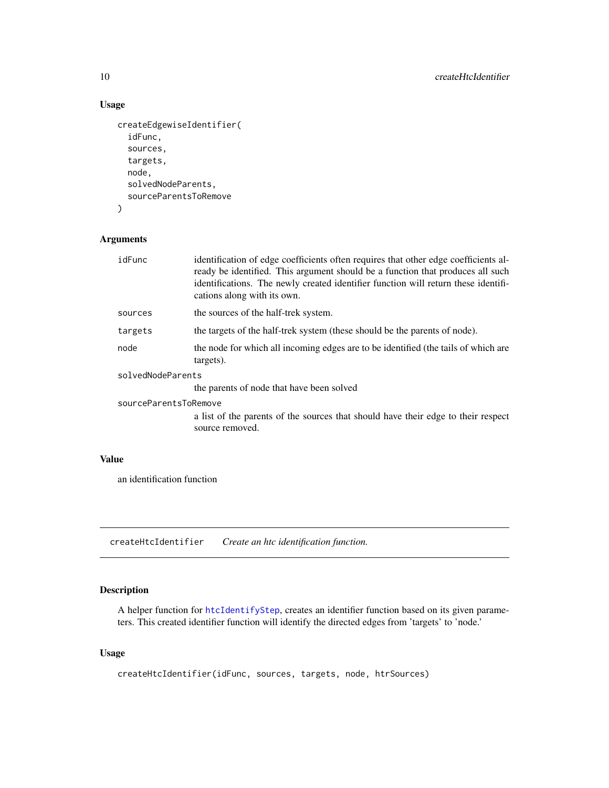# Usage

```
createEdgewiseIdentifier(
  idFunc,
  sources,
  targets,
  node,
  solvedNodeParents,
  sourceParentsToRemove
\mathcal{L}
```
#### Arguments

| idFunc                | identification of edge coefficients often requires that other edge coefficients al-<br>ready be identified. This argument should be a function that produces all such<br>identifications. The newly created identifier function will return these identifi-<br>cations along with its own. |  |  |  |
|-----------------------|--------------------------------------------------------------------------------------------------------------------------------------------------------------------------------------------------------------------------------------------------------------------------------------------|--|--|--|
| sources               | the sources of the half-trek system.                                                                                                                                                                                                                                                       |  |  |  |
| targets               | the targets of the half-trek system (these should be the parents of node).                                                                                                                                                                                                                 |  |  |  |
| node                  | the node for which all incoming edges are to be identified (the tails of which are<br>targets).                                                                                                                                                                                            |  |  |  |
| solvedNodeParents     |                                                                                                                                                                                                                                                                                            |  |  |  |
|                       | the parents of node that have been solved                                                                                                                                                                                                                                                  |  |  |  |
| sourceParentsToRemove |                                                                                                                                                                                                                                                                                            |  |  |  |
|                       | a list of the parents of the sources that should have their edge to their respect<br>source removed.                                                                                                                                                                                       |  |  |  |

# Value

an identification function

createHtcIdentifier *Create an htc identification function.*

# Description

A helper function for [htcIdentifyStep](#page-35-1), creates an identifier function based on its given parameters. This created identifier function will identify the directed edges from 'targets' to 'node.'

```
createHtcIdentifier(idFunc, sources, targets, node, htrSources)
```
<span id="page-9-0"></span>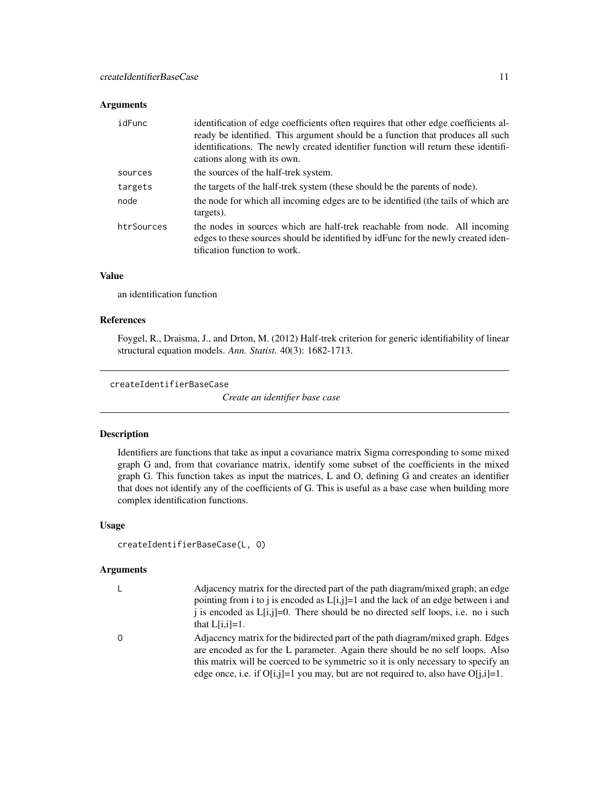#### <span id="page-10-0"></span>Arguments

| idFunc     | identification of edge coefficients often requires that other edge coefficients al-<br>ready be identified. This argument should be a function that produces all such<br>identifications. The newly created identifier function will return these identifi-<br>cations along with its own. |
|------------|--------------------------------------------------------------------------------------------------------------------------------------------------------------------------------------------------------------------------------------------------------------------------------------------|
| sources    | the sources of the half-trek system.                                                                                                                                                                                                                                                       |
| targets    | the targets of the half-trek system (these should be the parents of node).                                                                                                                                                                                                                 |
| node       | the node for which all incoming edges are to be identified (the tails of which are<br>targets).                                                                                                                                                                                            |
| htrSources | the nodes in sources which are half-trek reachable from node. All incoming<br>edges to these sources should be identified by identified by remaining to real iden-<br>tification function to work.                                                                                         |

#### Value

an identification function

#### References

Foygel, R., Draisma, J., and Drton, M. (2012) Half-trek criterion for generic identifiability of linear structural equation models. *Ann. Statist.* 40(3): 1682-1713.

createIdentifierBaseCase

*Create an identifier base case*

# Description

Identifiers are functions that take as input a covariance matrix Sigma corresponding to some mixed graph G and, from that covariance matrix, identify some subset of the coefficients in the mixed graph G. This function takes as input the matrices, L and O, defining G and creates an identifier that does not identify any of the coefficients of G. This is useful as a base case when building more complex identification functions.

# Usage

```
createIdentifierBaseCase(L, O)
```

|     | Adjacency matrix for the directed part of the path diagram/mixed graph; an edge<br>pointing from i to j is encoded as $L[i,j]=1$ and the lack of an edge between i and<br>i is encoded as $L[i,j]=0$ . There should be no directed self loops, i.e. no i such<br>that $L[i,i]=1$ .                                                              |
|-----|-------------------------------------------------------------------------------------------------------------------------------------------------------------------------------------------------------------------------------------------------------------------------------------------------------------------------------------------------|
| - 0 | Adjacency matrix for the bidirected part of the path diagram/mixed graph. Edges<br>are encoded as for the L parameter. Again there should be no self loops. Also<br>this matrix will be coerced to be symmetric so it is only necessary to specify an<br>edge once, i.e. if $O[i,j]=1$ you may, but are not required to, also have $O[i,j]=1$ . |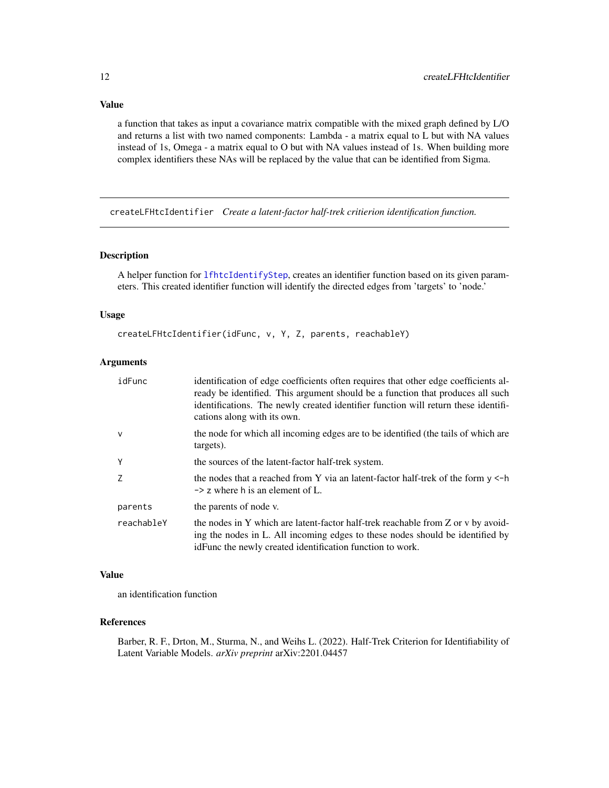<span id="page-11-0"></span>Value

a function that takes as input a covariance matrix compatible with the mixed graph defined by L/O and returns a list with two named components: Lambda - a matrix equal to L but with NA values instead of 1s, Omega - a matrix equal to O but with NA values instead of 1s. When building more complex identifiers these NAs will be replaced by the value that can be identified from Sigma.

createLFHtcIdentifier *Create a latent-factor half-trek critierion identification function.*

#### Description

A helper function for [lfhtcIdentifyStep](#page-43-1), creates an identifier function based on its given parameters. This created identifier function will identify the directed edges from 'targets' to 'node.'

#### Usage

createLFHtcIdentifier(idFunc, v, Y, Z, parents, reachableY)

#### Arguments

| idFunc       | identification of edge coefficients often requires that other edge coefficients al-<br>ready be identified. This argument should be a function that produces all such<br>identifications. The newly created identifier function will return these identifi-<br>cations along with its own. |
|--------------|--------------------------------------------------------------------------------------------------------------------------------------------------------------------------------------------------------------------------------------------------------------------------------------------|
| $\mathsf{V}$ | the node for which all incoming edges are to be identified (the tails of which are<br>targets).                                                                                                                                                                                            |
| Y            | the sources of the latent-factor half-trek system.                                                                                                                                                                                                                                         |
| Z            | the nodes that a reached from Y via an latent-factor half-trek of the form $y \le -h$<br>$\rightarrow$ z where h is an element of L.                                                                                                                                                       |
| parents      | the parents of node v.                                                                                                                                                                                                                                                                     |
| reachableY   | the nodes in Y which are latent-factor half-trek reachable from Z or v by avoid-<br>ing the nodes in L. All incoming edges to these nodes should be identified by<br>id Function energy created identification function to work.                                                           |

#### Value

an identification function

#### References

Barber, R. F., Drton, M., Sturma, N., and Weihs L. (2022). Half-Trek Criterion for Identifiability of Latent Variable Models. *arXiv preprint* arXiv:2201.04457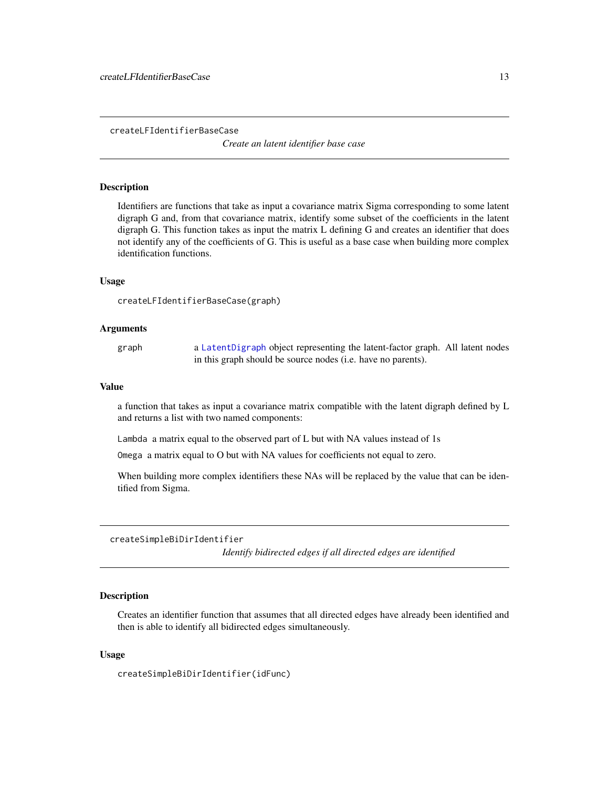<span id="page-12-0"></span>createLFIdentifierBaseCase

*Create an latent identifier base case*

#### **Description**

Identifiers are functions that take as input a covariance matrix Sigma corresponding to some latent digraph G and, from that covariance matrix, identify some subset of the coefficients in the latent digraph G. This function takes as input the matrix L defining G and creates an identifier that does not identify any of the coefficients of G. This is useful as a base case when building more complex identification functions.

#### Usage

```
createLFIdentifierBaseCase(graph)
```
#### Arguments

graph a [LatentDigraph](#page-39-1) object representing the latent-factor graph. All latent nodes in this graph should be source nodes (i.e. have no parents).

#### Value

a function that takes as input a covariance matrix compatible with the latent digraph defined by L and returns a list with two named components:

Lambda a matrix equal to the observed part of L but with NA values instead of 1s

Omega a matrix equal to O but with NA values for coefficients not equal to zero.

When building more complex identifiers these NAs will be replaced by the value that can be identified from Sigma.

createSimpleBiDirIdentifier

*Identify bidirected edges if all directed edges are identified*

# Description

Creates an identifier function that assumes that all directed edges have already been identified and then is able to identify all bidirected edges simultaneously.

#### Usage

createSimpleBiDirIdentifier(idFunc)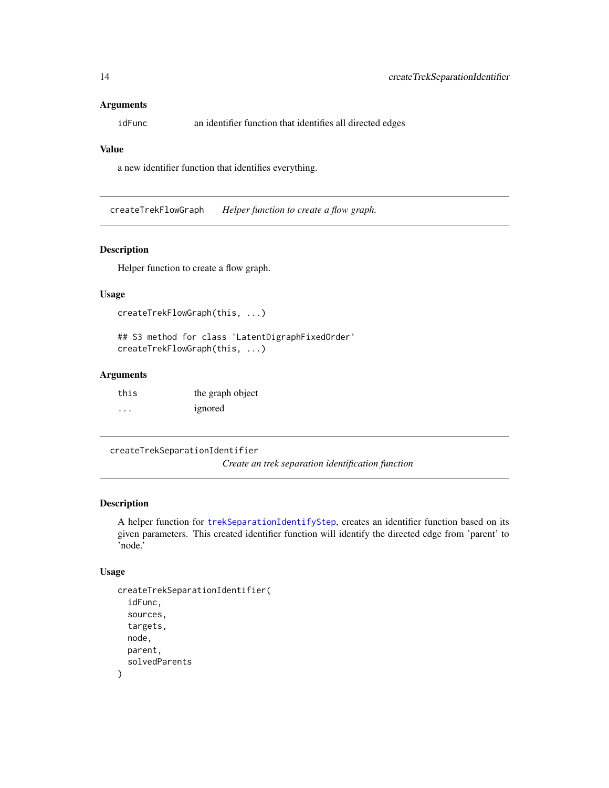#### <span id="page-13-0"></span>**Arguments**

idFunc an identifier function that identifies all directed edges

#### Value

a new identifier function that identifies everything.

createTrekFlowGraph *Helper function to create a flow graph.*

#### Description

Helper function to create a flow graph.

#### Usage

```
createTrekFlowGraph(this, ...)
```
## S3 method for class 'LatentDigraphFixedOrder' createTrekFlowGraph(this, ...)

#### Arguments

| this    | the graph object |
|---------|------------------|
| $\cdot$ | ignored          |

```
createTrekSeparationIdentifier
```
*Create an trek separation identification function*

# Description

A helper function for [trekSeparationIdentifyStep](#page-60-1), creates an identifier function based on its given parameters. This created identifier function will identify the directed edge from 'parent' to 'node.'

```
createTrekSeparationIdentifier(
  idFunc,
  sources,
  targets,
  node,
 parent,
  solvedParents
)
```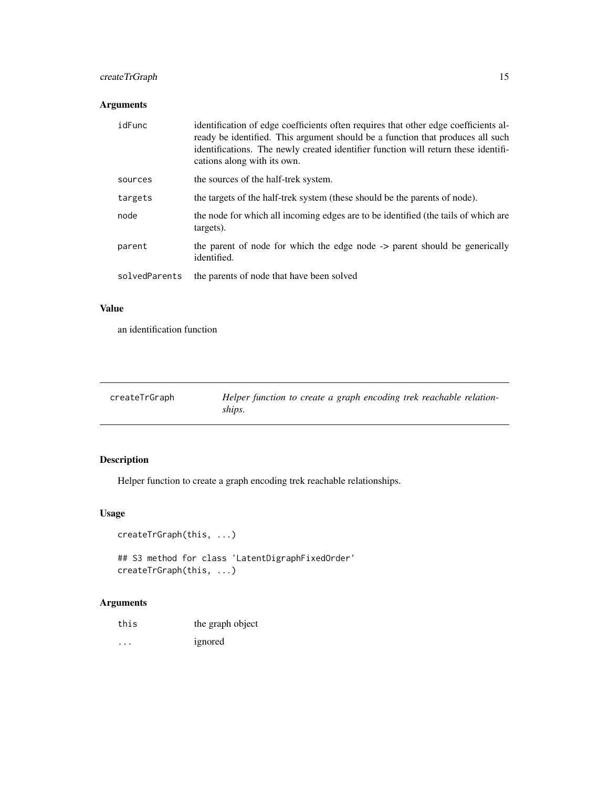# <span id="page-14-0"></span>createTrGraph 15

# Arguments

| idFunc        | identification of edge coefficients often requires that other edge coefficients al-<br>ready be identified. This argument should be a function that produces all such<br>identifications. The newly created identifier function will return these identifi-<br>cations along with its own. |
|---------------|--------------------------------------------------------------------------------------------------------------------------------------------------------------------------------------------------------------------------------------------------------------------------------------------|
| sources       | the sources of the half-trek system.                                                                                                                                                                                                                                                       |
| targets       | the targets of the half-trek system (these should be the parents of node).                                                                                                                                                                                                                 |
| node          | the node for which all incoming edges are to be identified (the tails of which are<br>targets).                                                                                                                                                                                            |
| parent        | the parent of node for which the edge node -> parent should be generically<br>identified.                                                                                                                                                                                                  |
| solvedParents | the parents of node that have been solved                                                                                                                                                                                                                                                  |

# Value

an identification function

| createTrGraph | Helper function to create a graph encoding trek reachable relation- |
|---------------|---------------------------------------------------------------------|
|               | ships.                                                              |

# Description

Helper function to create a graph encoding trek reachable relationships.

# Usage

```
createTrGraph(this, ...)
```
## S3 method for class 'LatentDigraphFixedOrder' createTrGraph(this, ...)

| this    | the graph object |
|---------|------------------|
| $\cdot$ | ignored          |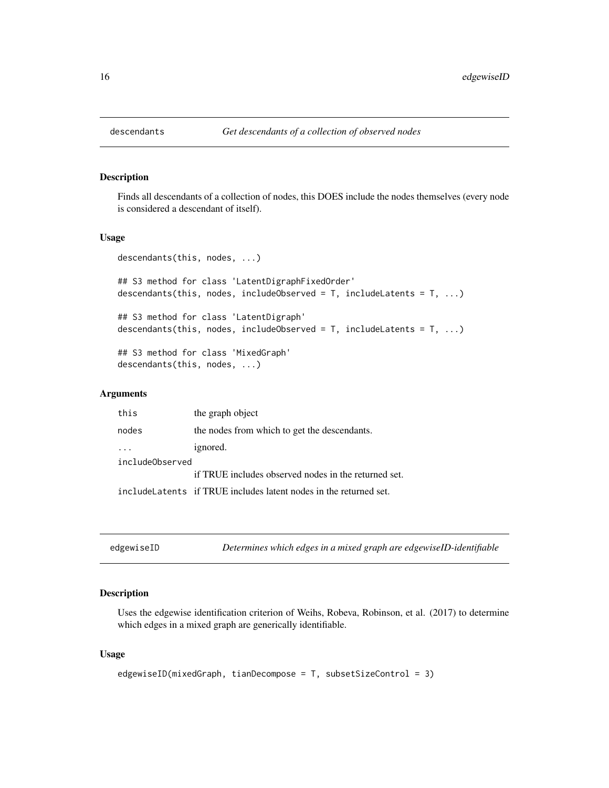<span id="page-15-0"></span>

Finds all descendants of a collection of nodes, this DOES include the nodes themselves (every node is considered a descendant of itself).

#### Usage

```
descendants(this, nodes, ...)
## S3 method for class 'LatentDigraphFixedOrder'
descendants(this, nodes, includeObserved = T, includeLatents = T, ...)
## S3 method for class 'LatentDigraph'
descendants(this, nodes, includeObserved = T, includeLatents = T, ...)
## S3 method for class 'MixedGraph'
descendants(this, nodes, ...)
```
#### Arguments

| this            | the graph object                                                   |  |
|-----------------|--------------------------------------------------------------------|--|
| nodes           | the nodes from which to get the descendants.                       |  |
|                 | ignored.                                                           |  |
| includeObserved |                                                                    |  |
|                 | if TRUE includes observed nodes in the returned set.               |  |
|                 | include Latents if TRUE includes latent nodes in the returned set. |  |

| edgewiseID |  |  |  | Determines which edges in a mixed graph are edgewiseID-identifiable |  |
|------------|--|--|--|---------------------------------------------------------------------|--|
|------------|--|--|--|---------------------------------------------------------------------|--|

#### Description

Uses the edgewise identification criterion of Weihs, Robeva, Robinson, et al. (2017) to determine which edges in a mixed graph are generically identifiable.

```
edgewiseID(mixedGraph, tianDecompose = T, subsetSizeControl = 3)
```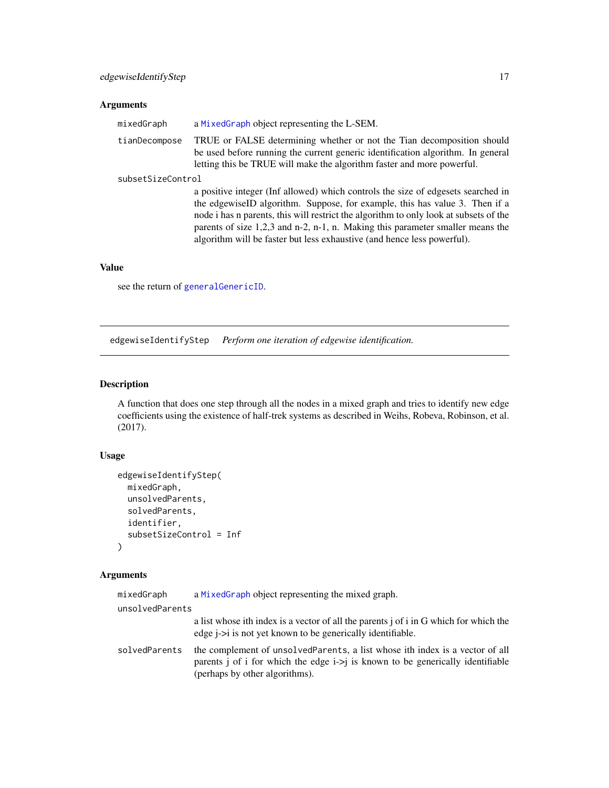#### <span id="page-16-0"></span>Arguments

| mixedGraph        | a MixedGraph object representing the L-SEM.                                                                                                                                                                                                                                                                                                                                                                             |
|-------------------|-------------------------------------------------------------------------------------------------------------------------------------------------------------------------------------------------------------------------------------------------------------------------------------------------------------------------------------------------------------------------------------------------------------------------|
| tianDecompose     | TRUE or FALSE determining whether or not the Tian decomposition should<br>be used before running the current generic identification algorithm. In general<br>letting this be TRUE will make the algorithm faster and more powerful.                                                                                                                                                                                     |
| subsetSizeControl |                                                                                                                                                                                                                                                                                                                                                                                                                         |
|                   | a positive integer (Inf allowed) which controls the size of edgesets searched in<br>the edgewiseID algorithm. Suppose, for example, this has value 3. Then if a<br>node i has n parents, this will restrict the algorithm to only look at subsets of the<br>parents of size $1,2,3$ and n-2, n-1, n. Making this parameter smaller means the<br>algorithm will be faster but less exhaustive (and hence less powerful). |

#### Value

see the return of [generalGenericID](#page-19-1).

<span id="page-16-1"></span>edgewiseIdentifyStep *Perform one iteration of edgewise identification.*

# Description

A function that does one step through all the nodes in a mixed graph and tries to identify new edge coefficients using the existence of half-trek systems as described in Weihs, Robeva, Robinson, et al. (2017).

# Usage

```
edgewiseIdentifyStep(
 mixedGraph,
 unsolvedParents,
  solvedParents,
  identifier,
  subsetSizeControl = Inf
)
```

| mixedGraph      | a MixedGraph object representing the mixed graph.                                                                                                                                                    |
|-----------------|------------------------------------------------------------------------------------------------------------------------------------------------------------------------------------------------------|
| unsolvedParents |                                                                                                                                                                                                      |
|                 | a list whose ith index is a vector of all the parents j of i in G which for which the<br>edge <i>i</i> -> <i>i</i> is not yet known to be generically identifiable.                                  |
| solvedParents   | the complement of unsolved Parents, a list whose ith index is a vector of all<br>parents j of i for which the edge $i > j$ is known to be generically identifiable<br>(perhaps by other algorithms). |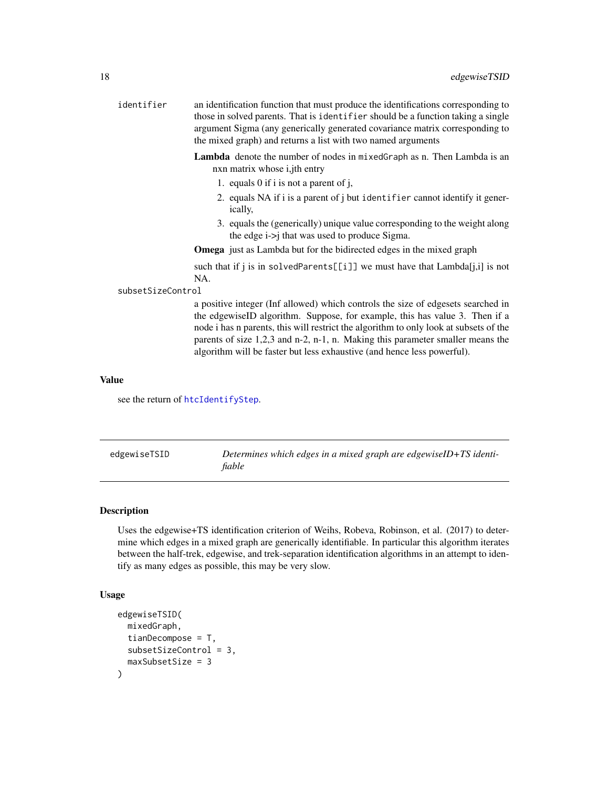<span id="page-17-0"></span>

| identifier        | an identification function that must produce the identifications corresponding to<br>those in solved parents. That is identifier should be a function taking a single<br>argument Sigma (any generically generated covariance matrix corresponding to<br>the mixed graph) and returns a list with two named arguments                                                                                                 |
|-------------------|-----------------------------------------------------------------------------------------------------------------------------------------------------------------------------------------------------------------------------------------------------------------------------------------------------------------------------------------------------------------------------------------------------------------------|
|                   | Lambda denote the number of nodes in mixedGraph as n. Then Lambda is an<br>nxn matrix whose <i>i</i> , jth entry                                                                                                                                                                                                                                                                                                      |
|                   | 1. equals 0 if i is not a parent of j,                                                                                                                                                                                                                                                                                                                                                                                |
|                   | 2. equals NA if i is a parent of j but identifier cannot identify it gener-<br>ically,                                                                                                                                                                                                                                                                                                                                |
|                   | 3. equals the (generically) unique value corresponding to the weight along<br>the edge $i\rightarrow j$ that was used to produce Sigma.                                                                                                                                                                                                                                                                               |
|                   | <b>Omega</b> just as Lambda but for the bidirected edges in the mixed graph                                                                                                                                                                                                                                                                                                                                           |
|                   | such that if j is in solvedParents[[i]] we must have that $Lambda[i,i]$ is not<br>NA.                                                                                                                                                                                                                                                                                                                                 |
| subsetSizeControl |                                                                                                                                                                                                                                                                                                                                                                                                                       |
|                   | a positive integer (Inf allowed) which controls the size of edgesets searched in<br>the edgewiseID algorithm. Suppose, for example, this has value 3. Then if a<br>node i has n parents, this will restrict the algorithm to only look at subsets of the<br>parents of size 1,2,3 and n-2, n-1, n. Making this parameter smaller means the<br>algorithm will be faster but less exhaustive (and hence less powerful). |
|                   |                                                                                                                                                                                                                                                                                                                                                                                                                       |

#### Value

see the return of [htcIdentifyStep](#page-35-1).

| edgewiseTSID | Determines which edges in a mixed graph are edgewiseID+TS identi- |
|--------------|-------------------------------------------------------------------|
|              | fiable                                                            |

# Description

Uses the edgewise+TS identification criterion of Weihs, Robeva, Robinson, et al. (2017) to determine which edges in a mixed graph are generically identifiable. In particular this algorithm iterates between the half-trek, edgewise, and trek-separation identification algorithms in an attempt to identify as many edges as possible, this may be very slow.

```
edgewiseTSID(
  mixedGraph,
  tianDecompose = T,
  subsetSizeControl = 3,
  maxSubsetSize = 3
\mathcal{E}
```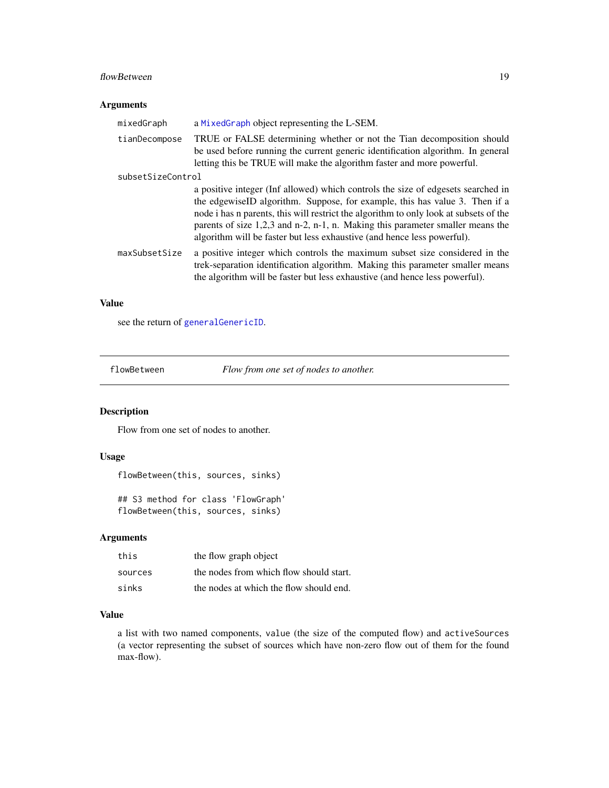#### <span id="page-18-0"></span>flowBetween 19

# Arguments

| mixedGraph        | a MixedGraph object representing the L-SEM.                                                                                                                                                                                                                                                                                                                                                                             |
|-------------------|-------------------------------------------------------------------------------------------------------------------------------------------------------------------------------------------------------------------------------------------------------------------------------------------------------------------------------------------------------------------------------------------------------------------------|
| tianDecompose     | TRUE or FALSE determining whether or not the Tian decomposition should<br>be used before running the current generic identification algorithm. In general<br>letting this be TRUE will make the algorithm faster and more powerful.                                                                                                                                                                                     |
| subsetSizeControl |                                                                                                                                                                                                                                                                                                                                                                                                                         |
|                   | a positive integer (Inf allowed) which controls the size of edgesets searched in<br>the edgewiseID algorithm. Suppose, for example, this has value 3. Then if a<br>node i has n parents, this will restrict the algorithm to only look at subsets of the<br>parents of size $1,2,3$ and n-2, n-1, n. Making this parameter smaller means the<br>algorithm will be faster but less exhaustive (and hence less powerful). |
| maxSubsetSize     | a positive integer which controls the maximum subset size considered in the<br>trek-separation identification algorithm. Making this parameter smaller means<br>the algorithm will be faster but less exhaustive (and hence less powerful).                                                                                                                                                                             |

# Value

see the return of [generalGenericID](#page-19-1).

flowBetween *Flow from one set of nodes to another.*

# Description

Flow from one set of nodes to another.

# Usage

```
flowBetween(this, sources, sinks)
## S3 method for class 'FlowGraph'
flowBetween(this, sources, sinks)
```
#### Arguments

| this    | the flow graph object                   |
|---------|-----------------------------------------|
| sources | the nodes from which flow should start. |
| sinks   | the nodes at which the flow should end. |

#### Value

a list with two named components, value (the size of the computed flow) and activeSources (a vector representing the subset of sources which have non-zero flow out of them for the found max-flow).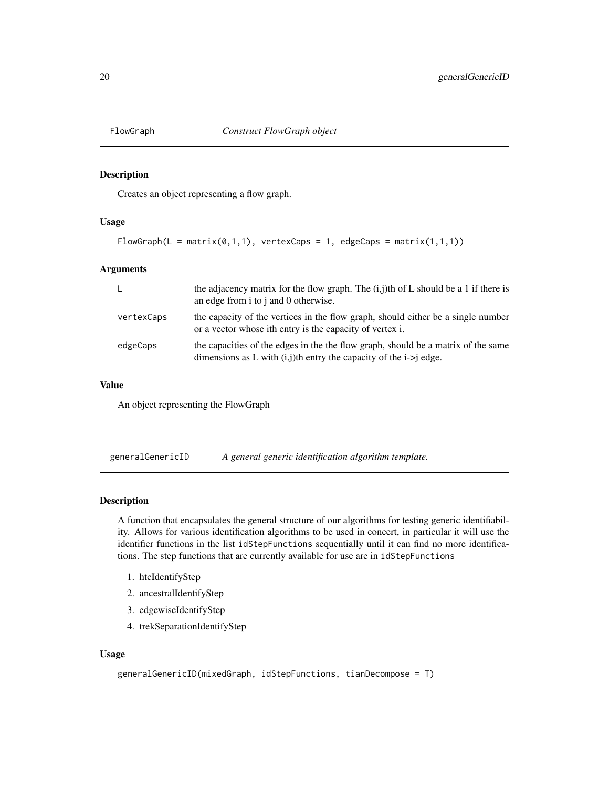<span id="page-19-0"></span>

Creates an object representing a flow graph.

#### Usage

```
FlowGraph(L = matrix(0,1,1), vertexCaps = 1, edgeCaps = matrix(1,1,1))
```
#### Arguments

| - L        | the adjacency matrix for the flow graph. The $(i,j)$ th of L should be a 1 if there is<br>an edge from i to j and 0 otherwise.                             |
|------------|------------------------------------------------------------------------------------------------------------------------------------------------------------|
| vertexCaps | the capacity of the vertices in the flow graph, should either be a single number<br>or a vector whose ith entry is the capacity of vertex i.               |
| edgeCaps   | the capacities of the edges in the the flow graph, should be a matrix of the same<br>dimensions as L with $(i, j)$ th entry the capacity of the i->j edge. |

# Value

An object representing the FlowGraph

<span id="page-19-1"></span>generalGenericID *A general generic identification algorithm template.*

#### Description

A function that encapsulates the general structure of our algorithms for testing generic identifiability. Allows for various identification algorithms to be used in concert, in particular it will use the identifier functions in the list idStepFunctions sequentially until it can find no more identifications. The step functions that are currently available for use are in idStepFunctions

- 1. htcIdentifyStep
- 2. ancestralIdentifyStep
- 3. edgewiseIdentifyStep
- 4. trekSeparationIdentifyStep

```
generalGenericID(mixedGraph, idStepFunctions, tianDecompose = T)
```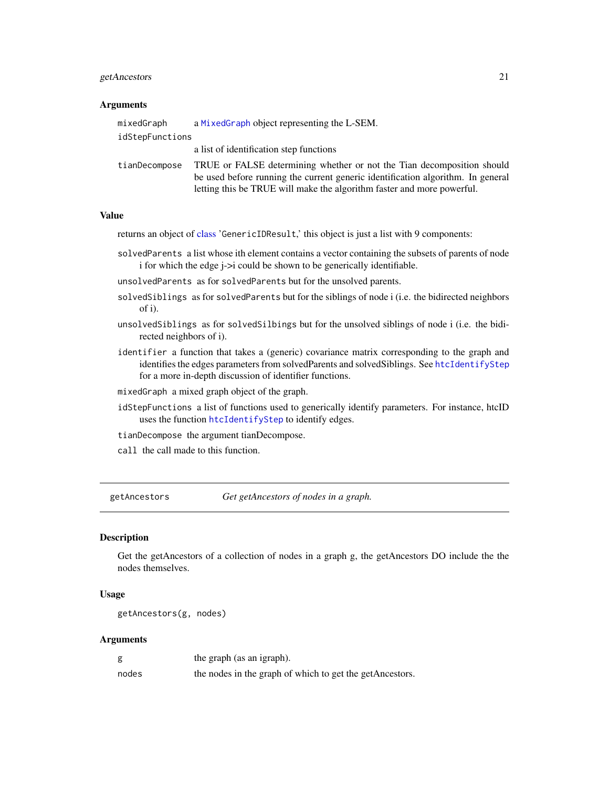# <span id="page-20-0"></span>getAncestors 21

#### **Arguments**

| mixedGraph      | a MixedGraph object representing the L-SEM.                                                                                                                                                                                         |
|-----------------|-------------------------------------------------------------------------------------------------------------------------------------------------------------------------------------------------------------------------------------|
| idStepFunctions |                                                                                                                                                                                                                                     |
|                 | a list of identification step functions                                                                                                                                                                                             |
| tianDecompose   | TRUE or FALSE determining whether or not the Tian decomposition should<br>be used before running the current generic identification algorithm. In general<br>letting this be TRUE will make the algorithm faster and more powerful. |

#### Value

returns an object of [class](#page-0-0) 'GenericIDResult,' this object is just a list with 9 components:

solvedParents a list whose ith element contains a vector containing the subsets of parents of node i for which the edge j->i could be shown to be generically identifiable.

unsolvedParents as for solvedParents but for the unsolved parents.

- solvedSiblings as for solvedParents but for the siblings of node i (i.e. the bidirected neighbors of i).
- unsolvedSiblings as for solvedSilbings but for the unsolved siblings of node i (i.e. the bidirected neighbors of i).
- identifier a function that takes a (generic) covariance matrix corresponding to the graph and identifies the edges parameters from solvedParents and solvedSiblings. See [htcIdentifyStep](#page-35-1) for a more in-depth discussion of identifier functions.
- mixedGraph a mixed graph object of the graph.
- idStepFunctions a list of functions used to generically identify parameters. For instance, htcID uses the function [htcIdentifyStep](#page-35-1) to identify edges.
- tianDecompose the argument tianDecompose.
- call the call made to this function.

getAncestors *Get getAncestors of nodes in a graph.*

#### **Description**

Get the getAncestors of a collection of nodes in a graph g, the getAncestors DO include the the nodes themselves.

# Usage

```
getAncestors(g, nodes)
```

| g     | the graph (as an igraph).                                |
|-------|----------------------------------------------------------|
| nodes | the nodes in the graph of which to get the getAncestors. |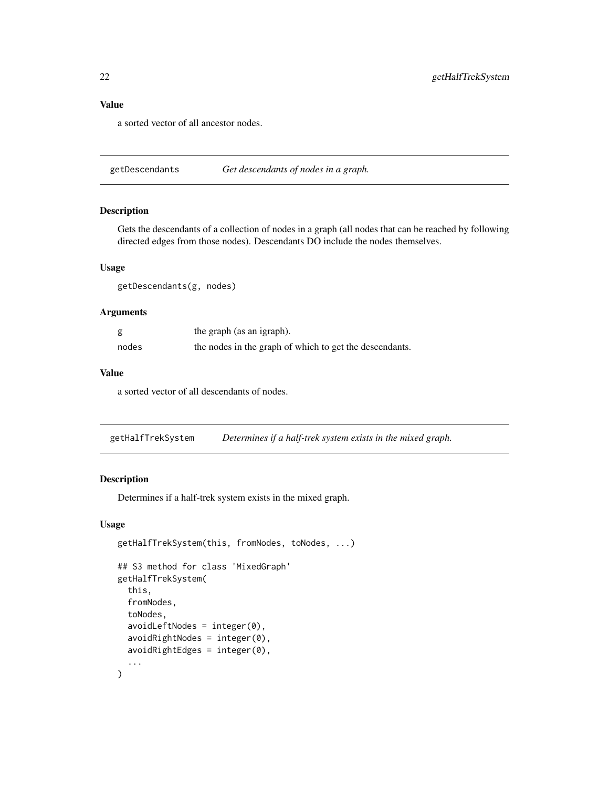#### <span id="page-21-0"></span>Value

a sorted vector of all ancestor nodes.

getDescendants *Get descendants of nodes in a graph.*

#### Description

Gets the descendants of a collection of nodes in a graph (all nodes that can be reached by following directed edges from those nodes). Descendants DO include the nodes themselves.

# Usage

getDescendants(g, nodes)

#### Arguments

| g     | the graph (as an igraph).                               |
|-------|---------------------------------------------------------|
| nodes | the nodes in the graph of which to get the descendants. |

#### Value

a sorted vector of all descendants of nodes.

getHalfTrekSystem *Determines if a half-trek system exists in the mixed graph.*

# Description

Determines if a half-trek system exists in the mixed graph.

```
getHalfTrekSystem(this, fromNodes, toNodes, ...)
## S3 method for class 'MixedGraph'
getHalfTrekSystem(
  this,
  fromNodes,
  toNodes,
  avoidLeftNodes = integer(0),
  avoidRightNodes = integer(0),
  avoidRightEdges = integer(0),
  ...
\mathcal{E}
```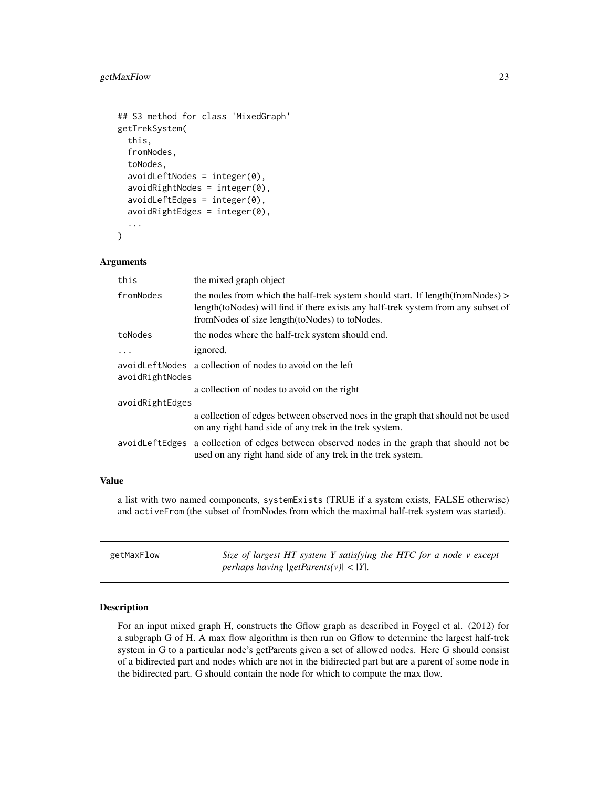# <span id="page-22-0"></span>getMaxFlow 23

```
## S3 method for class 'MixedGraph'
getTrekSystem(
  this,
  fromNodes,
  toNodes,
  avoidLeftNodes = integer(0),
  avoidRightNodes = integer(0),
  avoidLeftEdges = integer(0),
  avoidRightEdges = integer(0),
  ...
\mathcal{E}
```
#### Arguments

| the mixed graph object                                                                                                                                                                                                       |  |  |
|------------------------------------------------------------------------------------------------------------------------------------------------------------------------------------------------------------------------------|--|--|
| the nodes from which the half-trek system should start. If length (from Nodes) $>$<br>length(toNodes) will find if there exists any half-trek system from any subset of<br>from Nodes of size length (to Nodes) to to Nodes. |  |  |
| the nodes where the half-trek system should end.                                                                                                                                                                             |  |  |
| ignored.                                                                                                                                                                                                                     |  |  |
| avoid Left Nodes a collection of nodes to avoid on the left<br>avoidRightNodes                                                                                                                                               |  |  |
| a collection of nodes to avoid on the right                                                                                                                                                                                  |  |  |
| avoidRightEdges                                                                                                                                                                                                              |  |  |
| a collection of edges between observed noes in the graph that should not be used<br>on any right hand side of any trek in the trek system.                                                                                   |  |  |
| avoid Left Edges a collection of edges between observed nodes in the graph that should not be<br>used on any right hand side of any trek in the trek system.                                                                 |  |  |
|                                                                                                                                                                                                                              |  |  |

# Value

a list with two named components, systemExists (TRUE if a system exists, FALSE otherwise) and activeFrom (the subset of fromNodes from which the maximal half-trek system was started).

| getMaxFlow | Size of largest HT system Y satisfying the HTC for a node v except |
|------------|--------------------------------------------------------------------|
|            | <i>perhaps having <math> getParents(v)  &lt;  Y </math>.</i>       |

# Description

For an input mixed graph H, constructs the Gflow graph as described in Foygel et al. (2012) for a subgraph G of H. A max flow algorithm is then run on Gflow to determine the largest half-trek system in G to a particular node's getParents given a set of allowed nodes. Here G should consist of a bidirected part and nodes which are not in the bidirected part but are a parent of some node in the bidirected part. G should contain the node for which to compute the max flow.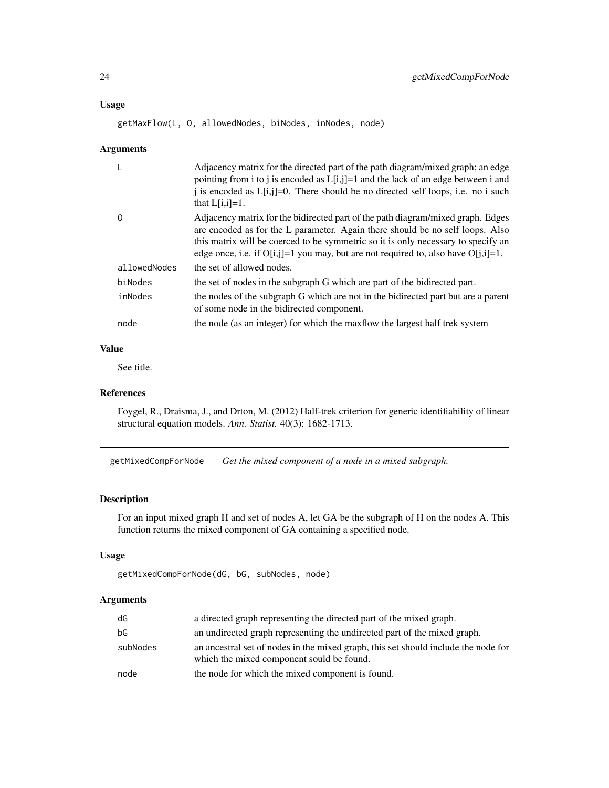#### <span id="page-23-0"></span>Usage

getMaxFlow(L, O, allowedNodes, biNodes, inNodes, node)

#### Arguments

| L            | Adjacency matrix for the directed part of the path diagram/mixed graph; an edge<br>pointing from i to j is encoded as $L[i,j]=1$ and the lack of an edge between i and<br>i is encoded as $L[i,j]=0$ . There should be no directed self loops, i.e. no i such<br>that $L[i,i]=1$ .                                                              |
|--------------|-------------------------------------------------------------------------------------------------------------------------------------------------------------------------------------------------------------------------------------------------------------------------------------------------------------------------------------------------|
| $\Omega$     | Adjacency matrix for the bidirected part of the path diagram/mixed graph. Edges<br>are encoded as for the L parameter. Again there should be no self loops. Also<br>this matrix will be coerced to be symmetric so it is only necessary to specify an<br>edge once, i.e. if $O[i,j]=1$ you may, but are not required to, also have $O[i,i]=1$ . |
| allowedNodes | the set of allowed nodes.                                                                                                                                                                                                                                                                                                                       |
| biNodes      | the set of nodes in the subgraph G which are part of the bidirected part.                                                                                                                                                                                                                                                                       |
| inNodes      | the nodes of the subgraph G which are not in the bidirected part but are a parent<br>of some node in the bidirected component.                                                                                                                                                                                                                  |
| node         | the node (as an integer) for which the maxiflow the largest half trek system                                                                                                                                                                                                                                                                    |

#### Value

See title.

#### References

Foygel, R., Draisma, J., and Drton, M. (2012) Half-trek criterion for generic identifiability of linear structural equation models. *Ann. Statist.* 40(3): 1682-1713.

getMixedCompForNode *Get the mixed component of a node in a mixed subgraph.*

# Description

For an input mixed graph H and set of nodes A, let GA be the subgraph of H on the nodes A. This function returns the mixed component of GA containing a specified node.

# Usage

```
getMixedCompForNode(dG, bG, subNodes, node)
```

| dG       | a directed graph representing the directed part of the mixed graph.                                                             |
|----------|---------------------------------------------------------------------------------------------------------------------------------|
| bG       | an undirected graph representing the undirected part of the mixed graph.                                                        |
| subNodes | an ancestral set of nodes in the mixed graph, this set should include the node for<br>which the mixed component sould be found. |
| node     | the node for which the mixed component is found.                                                                                |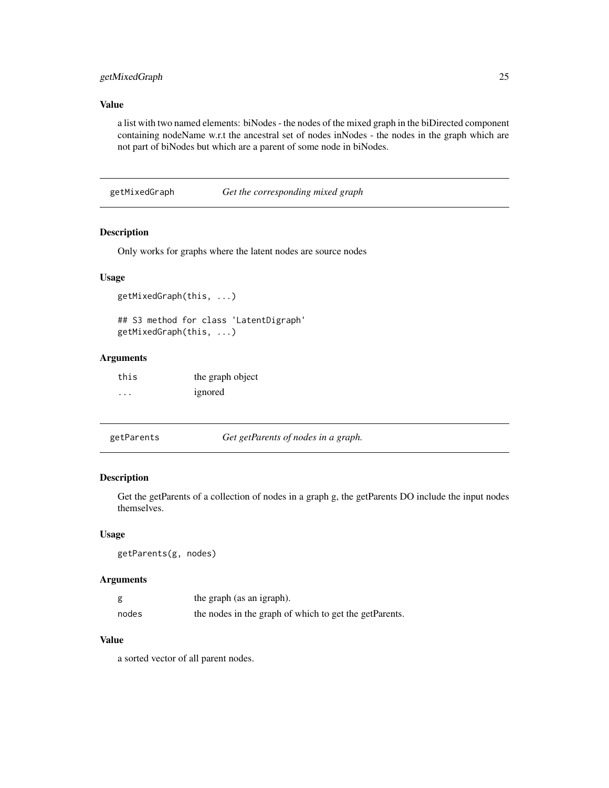# <span id="page-24-0"></span>getMixedGraph 25

# Value

a list with two named elements: biNodes - the nodes of the mixed graph in the biDirected component containing nodeName w.r.t the ancestral set of nodes inNodes - the nodes in the graph which are not part of biNodes but which are a parent of some node in biNodes.

getMixedGraph *Get the corresponding mixed graph*

# Description

Only works for graphs where the latent nodes are source nodes

#### Usage

```
getMixedGraph(this, ...)
## S3 method for class 'LatentDigraph'
```
getMixedGraph(this, ...)

# Arguments

| this    | the graph object |
|---------|------------------|
| $\cdot$ | ignored          |

| getParents | Get getParents of nodes in a graph. |
|------------|-------------------------------------|
|------------|-------------------------------------|

#### Description

Get the getParents of a collection of nodes in a graph g, the getParents DO include the input nodes themselves.

#### Usage

getParents(g, nodes)

# Arguments

|       | the graph (as an igraph).                              |
|-------|--------------------------------------------------------|
| nodes | the nodes in the graph of which to get the getParents. |

# Value

a sorted vector of all parent nodes.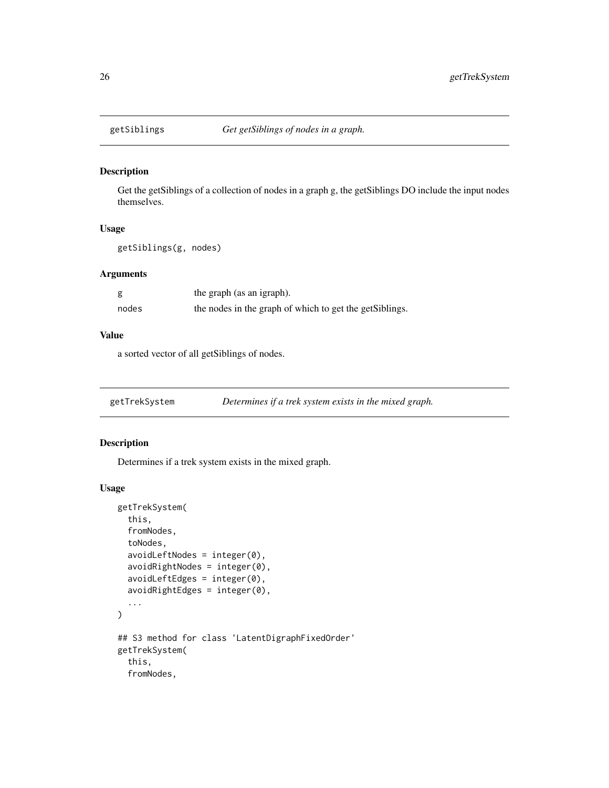<span id="page-25-0"></span>

Get the getSiblings of a collection of nodes in a graph g, the getSiblings DO include the input nodes themselves.

### Usage

getSiblings(g, nodes)

# Arguments

|       | the graph (as an igraph).                                |
|-------|----------------------------------------------------------|
| nodes | the nodes in the graph of which to get the get Siblings. |

#### Value

a sorted vector of all getSiblings of nodes.

getTrekSystem *Determines if a trek system exists in the mixed graph.*

# Description

Determines if a trek system exists in the mixed graph.

```
getTrekSystem(
  this,
  fromNodes,
  toNodes,
  avoidLeftNodes = integer(0),
  avoidRightNodes = integer(0),
  avoidLeftEdges = integer(0),
  avoidRightEdges = integer(0),
  ...
\overline{)}## S3 method for class 'LatentDigraphFixedOrder'
getTrekSystem(
  this,
  fromNodes,
```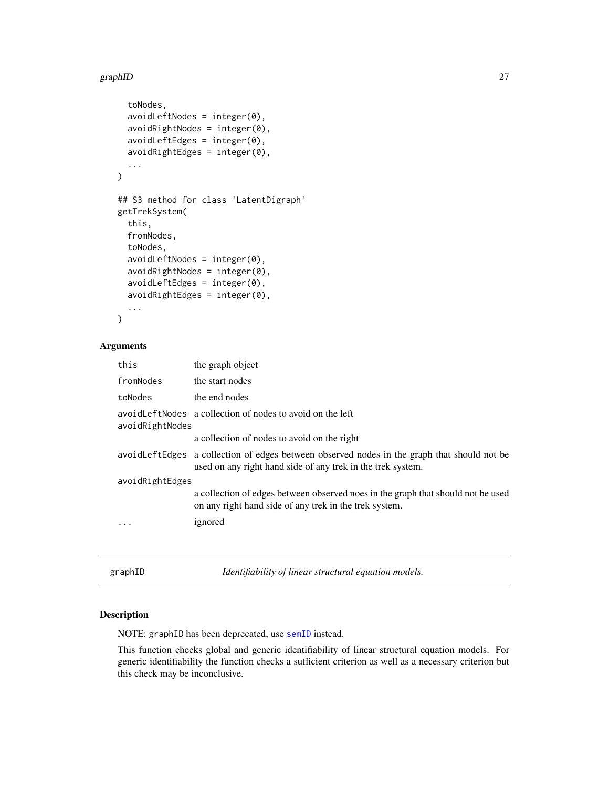#### <span id="page-26-0"></span>graphID 27

```
toNodes,
  avoidLeftNodes = integer(0),avoidRightNodes = integer(0),
  avoidLeftEdges = integer(0),
  avoidRightEdges = integer(0),
  ...
\mathcal{L}## S3 method for class 'LatentDigraph'
getTrekSystem(
  this,
  fromNodes,
  toNodes,
  avoidLeftNodes = integer(0),
  avoidRightNodes = integer(0),
  avoidLeftEdges = integer(0),
  avoidRightEdges = integer(0),
  ...
\mathcal{L}
```
# Arguments

| this            | the graph object                                                                                                                                             |  |
|-----------------|--------------------------------------------------------------------------------------------------------------------------------------------------------------|--|
| fromNodes       | the start nodes                                                                                                                                              |  |
| toNodes         | the end nodes                                                                                                                                                |  |
| avoidRightNodes | avoid Left Nodes a collection of nodes to avoid on the left                                                                                                  |  |
|                 | a collection of nodes to avoid on the right                                                                                                                  |  |
|                 | avoid Left Edges a collection of edges between observed nodes in the graph that should not be<br>used on any right hand side of any trek in the trek system. |  |
| avoidRightEdges |                                                                                                                                                              |  |
|                 | a collection of edges between observed noes in the graph that should not be used<br>on any right hand side of any trek in the trek system.                   |  |
|                 | ignored                                                                                                                                                      |  |
|                 |                                                                                                                                                              |  |
|                 |                                                                                                                                                              |  |

<span id="page-26-1"></span>graphID *Identifiability of linear structural equation models.*

#### Description

NOTE: graphID has been deprecated, use [semID](#page-53-1) instead.

This function checks global and generic identifiability of linear structural equation models. For generic identifiability the function checks a sufficient criterion as well as a necessary criterion but this check may be inconclusive.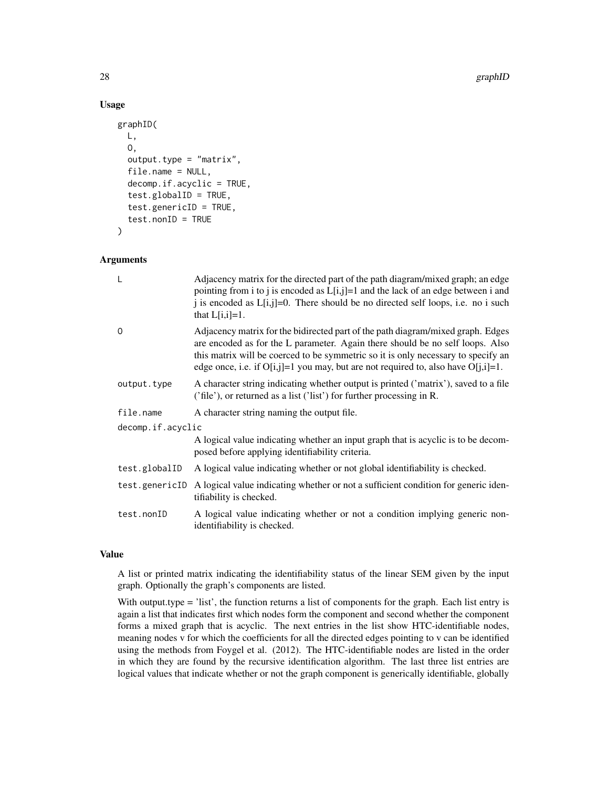#### 28 graphID

# Usage

```
graphID(
 L,
  O,
  output_type = "matrix",file.name = NULL,
  decomp.if.acyclic = TRUE,
  test.globalID = TRUE,
  test.genericID = TRUE,
  test.nonID = TRUE
)
```
#### Arguments

| L                 | Adjacency matrix for the directed part of the path diagram/mixed graph; an edge<br>pointing from i to j is encoded as $L[i,j]=1$ and the lack of an edge between i and<br>j is encoded as $L[i,j]=0$ . There should be no directed self loops, i.e. no i such<br>that $L[i,i]=1$ .                                                              |  |
|-------------------|-------------------------------------------------------------------------------------------------------------------------------------------------------------------------------------------------------------------------------------------------------------------------------------------------------------------------------------------------|--|
| 0                 | Adjacency matrix for the bidirected part of the path diagram/mixed graph. Edges<br>are encoded as for the L parameter. Again there should be no self loops. Also<br>this matrix will be coerced to be symmetric so it is only necessary to specify an<br>edge once, i.e. if $O[i,j]=1$ you may, but are not required to, also have $O[i,j]=1$ . |  |
| output.type       | A character string indicating whether output is printed ('matrix'), saved to a file<br>('file'), or returned as a list ('list') for further processing in R.                                                                                                                                                                                    |  |
| file.name         | A character string naming the output file.                                                                                                                                                                                                                                                                                                      |  |
| decomp.if.acyclic |                                                                                                                                                                                                                                                                                                                                                 |  |
|                   | A logical value indicating whether an input graph that is acyclic is to be decom-<br>posed before applying identifiability criteria.                                                                                                                                                                                                            |  |
| test.globalID     | A logical value indicating whether or not global identifiability is checked.                                                                                                                                                                                                                                                                    |  |
|                   | test.genericID A logical value indicating whether or not a sufficient condition for generic iden-<br>tifiability is checked.                                                                                                                                                                                                                    |  |
| test.nonID        | A logical value indicating whether or not a condition implying generic non-<br>identifiability is checked.                                                                                                                                                                                                                                      |  |

#### Value

A list or printed matrix indicating the identifiability status of the linear SEM given by the input graph. Optionally the graph's components are listed.

With output.type = 'list', the function returns a list of components for the graph. Each list entry is again a list that indicates first which nodes form the component and second whether the component forms a mixed graph that is acyclic. The next entries in the list show HTC-identifiable nodes, meaning nodes v for which the coefficients for all the directed edges pointing to v can be identified using the methods from Foygel et al. (2012). The HTC-identifiable nodes are listed in the order in which they are found by the recursive identification algorithm. The last three list entries are logical values that indicate whether or not the graph component is generically identifiable, globally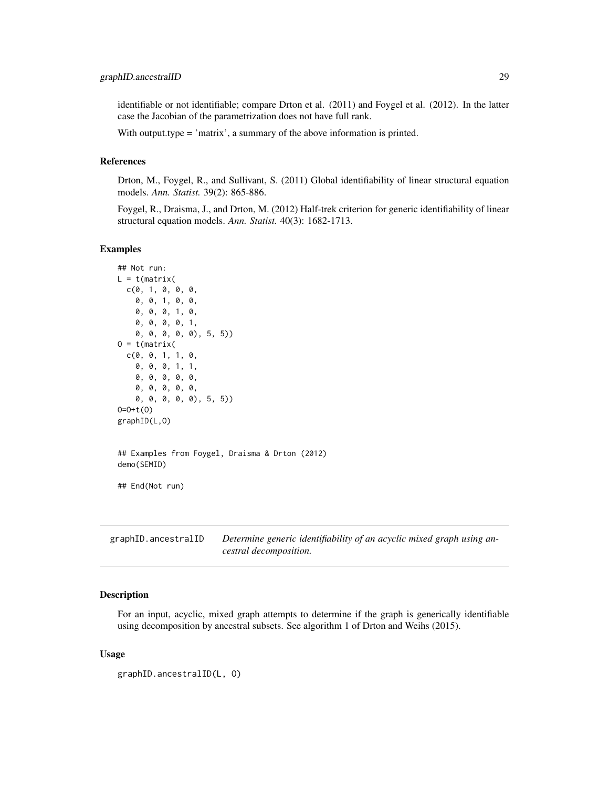<span id="page-28-0"></span>identifiable or not identifiable; compare Drton et al. (2011) and Foygel et al. (2012). In the latter case the Jacobian of the parametrization does not have full rank.

With output.type = 'matrix', a summary of the above information is printed.

#### References

Drton, M., Foygel, R., and Sullivant, S. (2011) Global identifiability of linear structural equation models. *Ann. Statist.* 39(2): 865-886.

Foygel, R., Draisma, J., and Drton, M. (2012) Half-trek criterion for generic identifiability of linear structural equation models. *Ann. Statist.* 40(3): 1682-1713.

#### Examples

```
## Not run:
L = t(matrix)c(0, 1, 0, 0, 0,
    0, 0, 1, 0, 0,
    0, 0, 0, 1, 0,
    0, 0, 0, 0, 1,
    0, 0, 0, 0, 0), 5, 5))
0 = t(matrix)c(0, 0, 1, 1, 0,
    0, 0, 0, 1, 1,
    0, 0, 0, 0, 0,
    0, 0, 0, 0, 0,
    0, 0, 0, 0, 0), 5, 5))
O=O+t(O)
graphID(L,O)
## Examples from Foygel, Draisma & Drton (2012)
demo(SEMID)
## End(Not run)
```
<span id="page-28-1"></span>graphID.ancestralID *Determine generic identifiability of an acyclic mixed graph using ancestral decomposition.*

#### Description

For an input, acyclic, mixed graph attempts to determine if the graph is generically identifiable using decomposition by ancestral subsets. See algorithm 1 of Drton and Weihs (2015).

```
graphID.ancestralID(L, O)
```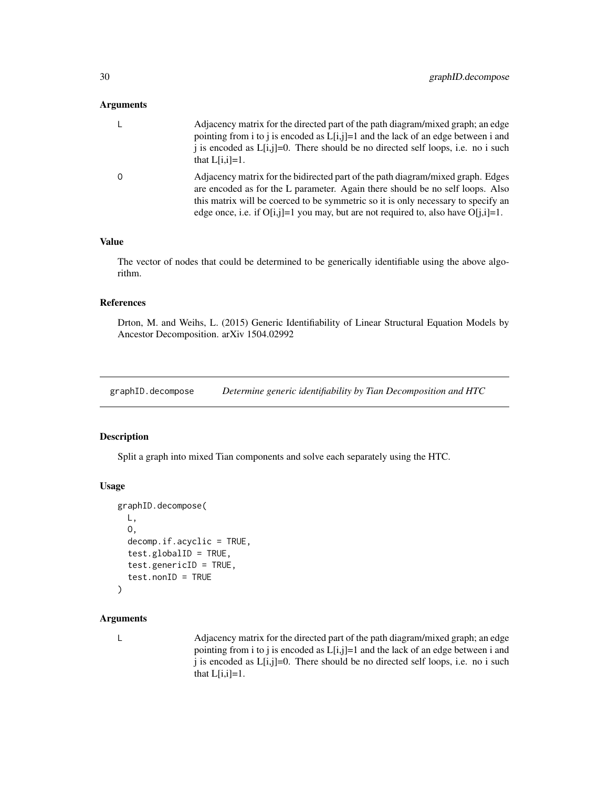#### <span id="page-29-0"></span>Arguments

| Adjacency matrix for the directed part of the path diagram/mixed graph; an edge<br>pointing from i to j is encoded as $L[i,j]=1$ and the lack of an edge between i and<br>i is encoded as $L[i,j]=0$ . There should be no directed self loops, i.e. no i such<br>that $L[i,i]=1$ .                                                                |
|---------------------------------------------------------------------------------------------------------------------------------------------------------------------------------------------------------------------------------------------------------------------------------------------------------------------------------------------------|
| Adjacency matrix for the bidirected part of the path diagram/mixed graph. Edges<br>are encoded as for the L parameter. Again there should be no self loops. Also<br>this matrix will be coerced to be symmetric so it is only necessary to specify an<br>edge once, i.e. if $O[i, j]=1$ you may, but are not required to, also have $O[i, i]=1$ . |

#### Value

The vector of nodes that could be determined to be generically identifiable using the above algorithm.

### References

Drton, M. and Weihs, L. (2015) Generic Identifiability of Linear Structural Equation Models by Ancestor Decomposition. arXiv 1504.02992

graphID.decompose *Determine generic identifiability by Tian Decomposition and HTC*

#### Description

Split a graph into mixed Tian components and solve each separately using the HTC.

#### Usage

```
graphID.decompose(
 L,
 O,
  decomp.if.acyclic = TRUE,
  test.globalID = TRUE,
  test.genericID = TRUE,
  test.nonID = TRUE
)
```
# Arguments

L Adjacency matrix for the directed part of the path diagram/mixed graph; an edge pointing from i to j is encoded as L[i,j]=1 and the lack of an edge between i and j is encoded as L[i,j]=0. There should be no directed self loops, i.e. no i such that  $L[i,i]=1$ .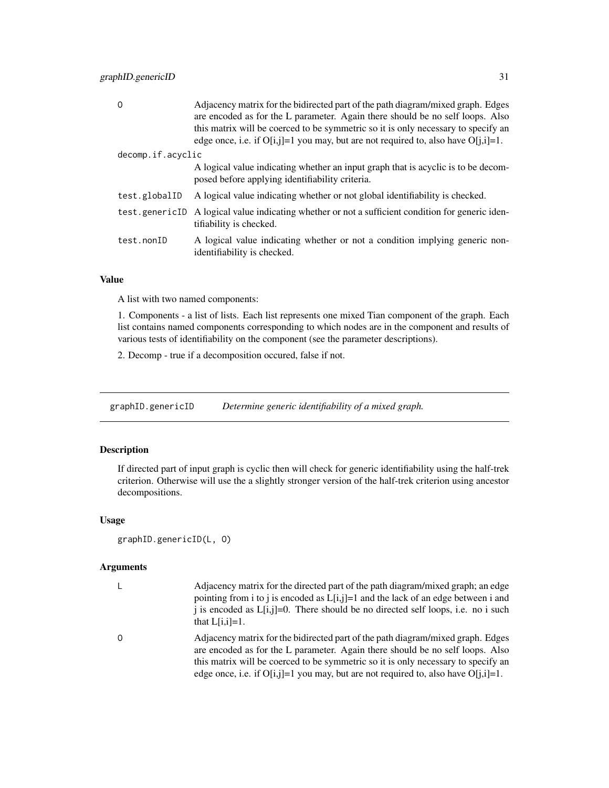<span id="page-30-0"></span>

| $\Omega$          | Adjacency matrix for the bidirected part of the path diagram/mixed graph. Edges<br>are encoded as for the L parameter. Again there should be no self loops. Also<br>this matrix will be coerced to be symmetric so it is only necessary to specify an<br>edge once, i.e. if $O[i, j]=1$ you may, but are not required to, also have $O[i, i]=1$ . |
|-------------------|---------------------------------------------------------------------------------------------------------------------------------------------------------------------------------------------------------------------------------------------------------------------------------------------------------------------------------------------------|
| decomp.if.acyclic |                                                                                                                                                                                                                                                                                                                                                   |
|                   | A logical value indicating whether an input graph that is acyclic is to be decom-<br>posed before applying identifiability criteria.                                                                                                                                                                                                              |
| test.globalID     | A logical value indicating whether or not global identifiability is checked.                                                                                                                                                                                                                                                                      |
| test.genericID    | A logical value indicating whether or not a sufficient condition for generic iden-<br>tifiability is checked.                                                                                                                                                                                                                                     |
| test.nonID        | A logical value indicating whether or not a condition implying generic non-<br>identifiability is checked.                                                                                                                                                                                                                                        |

# Value

A list with two named components:

1. Components - a list of lists. Each list represents one mixed Tian component of the graph. Each list contains named components corresponding to which nodes are in the component and results of various tests of identifiability on the component (see the parameter descriptions).

2. Decomp - true if a decomposition occured, false if not.

graphID.genericID *Determine generic identifiability of a mixed graph.*

# Description

If directed part of input graph is cyclic then will check for generic identifiability using the half-trek criterion. Otherwise will use the a slightly stronger version of the half-trek criterion using ancestor decompositions.

#### Usage

```
graphID.genericID(L, O)
```

| L.       | Adjacency matrix for the directed part of the path diagram/mixed graph; an edge<br>pointing from i to j is encoded as $L[i,j]=1$ and the lack of an edge between i and<br>i is encoded as $L[i,j]=0$ . There should be no directed self loops, i.e. no i such<br>that $L[i,i]=1$ .                                                              |
|----------|-------------------------------------------------------------------------------------------------------------------------------------------------------------------------------------------------------------------------------------------------------------------------------------------------------------------------------------------------|
| $\Omega$ | Adjacency matrix for the bidirected part of the path diagram/mixed graph. Edges<br>are encoded as for the L parameter. Again there should be no self loops. Also<br>this matrix will be coerced to be symmetric so it is only necessary to specify an<br>edge once, i.e. if $O[i,j]=1$ you may, but are not required to, also have $O[i,j]=1$ . |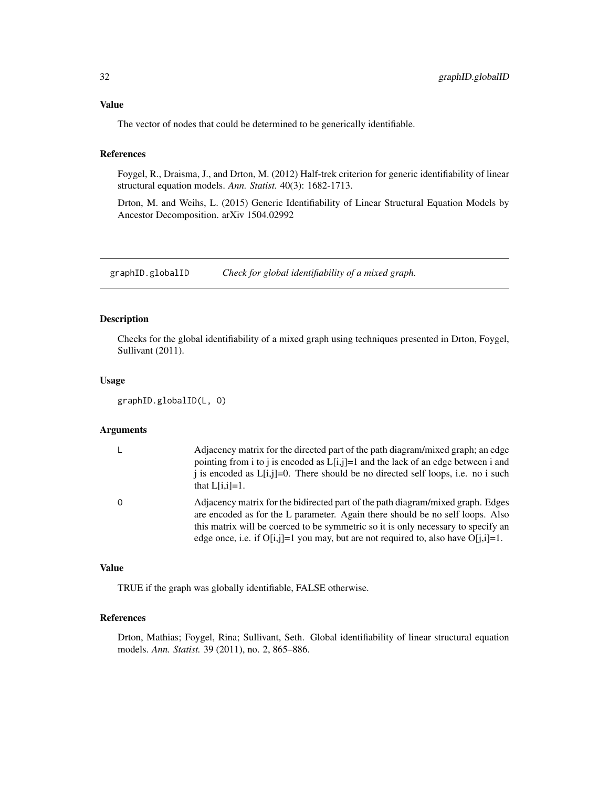# <span id="page-31-0"></span>Value

The vector of nodes that could be determined to be generically identifiable.

# References

Foygel, R., Draisma, J., and Drton, M. (2012) Half-trek criterion for generic identifiability of linear structural equation models. *Ann. Statist.* 40(3): 1682-1713.

Drton, M. and Weihs, L. (2015) Generic Identifiability of Linear Structural Equation Models by Ancestor Decomposition. arXiv 1504.02992

<span id="page-31-1"></span>graphID.globalID *Check for global identifiability of a mixed graph.*

#### Description

Checks for the global identifiability of a mixed graph using techniques presented in Drton, Foygel, Sullivant (2011).

#### Usage

graphID.globalID(L, O)

#### Arguments

| Adjacency matrix for the directed part of the path diagram/mixed graph; an edge<br>pointing from i to j is encoded as $L[i,j]=1$ and the lack of an edge between i and<br>i is encoded as $L[i,j]=0$ . There should be no directed self loops, i.e. no i such<br>that $L[i,i]=1$ .                                                                |
|---------------------------------------------------------------------------------------------------------------------------------------------------------------------------------------------------------------------------------------------------------------------------------------------------------------------------------------------------|
| Adjacency matrix for the bidirected part of the path diagram/mixed graph. Edges<br>are encoded as for the L parameter. Again there should be no self loops. Also<br>this matrix will be coerced to be symmetric so it is only necessary to specify an<br>edge once, i.e. if $O[i, j]=1$ you may, but are not required to, also have $O[i, i]=1$ . |

#### Value

TRUE if the graph was globally identifiable, FALSE otherwise.

# References

Drton, Mathias; Foygel, Rina; Sullivant, Seth. Global identifiability of linear structural equation models. *Ann. Statist.* 39 (2011), no. 2, 865–886.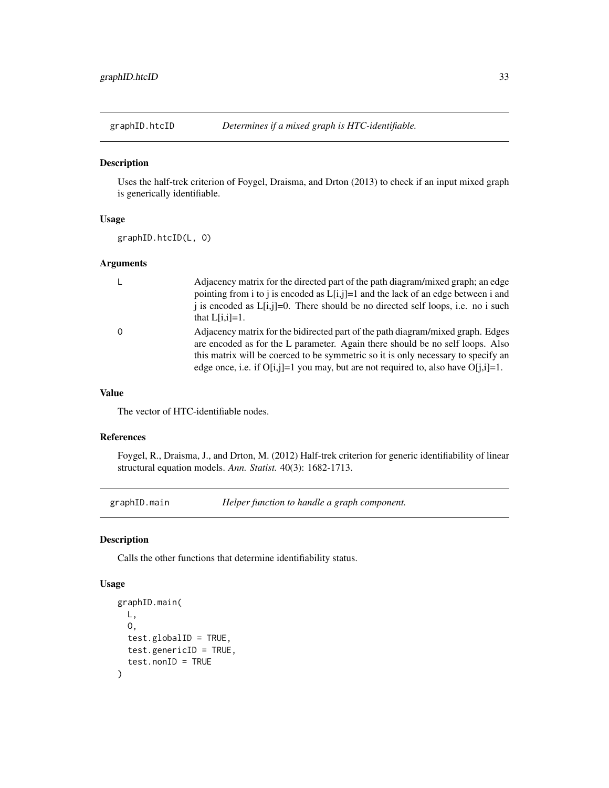<span id="page-32-1"></span><span id="page-32-0"></span>

Uses the half-trek criterion of Foygel, Draisma, and Drton (2013) to check if an input mixed graph is generically identifiable.

# Usage

graphID.htcID(L, O)

#### Arguments

| $\mathsf{L}$ | Adjacency matrix for the directed part of the path diagram/mixed graph; an edge<br>pointing from i to j is encoded as $L[i,j]=1$ and the lack of an edge between i and<br>i is encoded as $L[i,j]=0$ . There should be no directed self loops, i.e. no i such<br>that $L[i,i]=1$ .                                                                |
|--------------|---------------------------------------------------------------------------------------------------------------------------------------------------------------------------------------------------------------------------------------------------------------------------------------------------------------------------------------------------|
| $\Omega$     | Adjacency matrix for the bidirected part of the path diagram/mixed graph. Edges<br>are encoded as for the L parameter. Again there should be no self loops. Also<br>this matrix will be coerced to be symmetric so it is only necessary to specify an<br>edge once, i.e. if $O[i, j]=1$ you may, but are not required to, also have $O[i, i]=1$ . |

#### Value

The vector of HTC-identifiable nodes.

#### References

Foygel, R., Draisma, J., and Drton, M. (2012) Half-trek criterion for generic identifiability of linear structural equation models. *Ann. Statist.* 40(3): 1682-1713.

graphID.main *Helper function to handle a graph component.*

#### Description

Calls the other functions that determine identifiability status.

```
graphID.main(
 L,
 O,
  test.globalID = TRUE,
  test.genericID = TRUE,
  test.nonID = TRUE
\mathcal{E}
```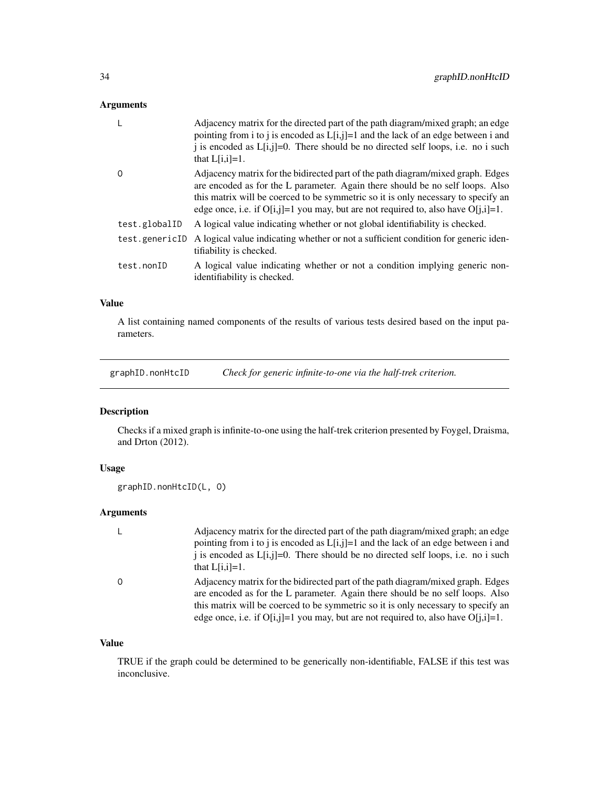# <span id="page-33-0"></span>Arguments

|                | Adjacency matrix for the directed part of the path diagram/mixed graph; an edge<br>pointing from i to j is encoded as $L[i,j]=1$ and the lack of an edge between i and<br>j is encoded as $L[i,j]=0$ . There should be no directed self loops, i.e. no i such<br>that $L[i,i]=1$ .                                                                |
|----------------|---------------------------------------------------------------------------------------------------------------------------------------------------------------------------------------------------------------------------------------------------------------------------------------------------------------------------------------------------|
| O              | Adjacency matrix for the bidirected part of the path diagram/mixed graph. Edges<br>are encoded as for the L parameter. Again there should be no self loops. Also<br>this matrix will be coerced to be symmetric so it is only necessary to specify an<br>edge once, i.e. if $O[i, j]=1$ you may, but are not required to, also have $O[i, i]=1$ . |
| test.globalID  | A logical value indicating whether or not global identifiability is checked.                                                                                                                                                                                                                                                                      |
| test.genericID | A logical value indicating whether or not a sufficient condition for generic iden-<br>tifiability is checked.                                                                                                                                                                                                                                     |
| test.nonID     | A logical value indicating whether or not a condition implying generic non-<br>identifiability is checked.                                                                                                                                                                                                                                        |

# Value

A list containing named components of the results of various tests desired based on the input parameters.

<span id="page-33-1"></span>graphID.nonHtcID *Check for generic infinite-to-one via the half-trek criterion.*

# Description

Checks if a mixed graph is infinite-to-one using the half-trek criterion presented by Foygel, Draisma, and Drton (2012).

# Usage

```
graphID.nonHtcID(L, O)
```
# Arguments

| L        | Adjacency matrix for the directed part of the path diagram/mixed graph; an edge<br>pointing from i to j is encoded as $L[i,j]=1$ and the lack of an edge between i and<br>i is encoded as $L[i,j]=0$ . There should be no directed self loops, i.e. no i such<br>that $L[i,i]=1$ .                                                                |
|----------|---------------------------------------------------------------------------------------------------------------------------------------------------------------------------------------------------------------------------------------------------------------------------------------------------------------------------------------------------|
| $\Omega$ | Adjacency matrix for the bidirected part of the path diagram/mixed graph. Edges<br>are encoded as for the L parameter. Again there should be no self loops. Also<br>this matrix will be coerced to be symmetric so it is only necessary to specify an<br>edge once, i.e. if $O[i, j]=1$ you may, but are not required to, also have $O[i, i]=1$ . |

# Value

TRUE if the graph could be determined to be generically non-identifiable, FALSE if this test was inconclusive.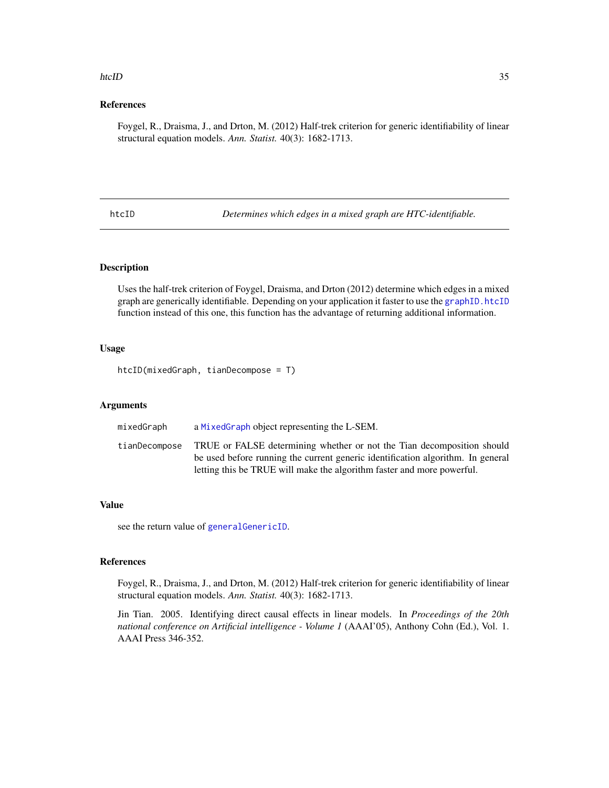#### <span id="page-34-0"></span>htcID 35

# References

Foygel, R., Draisma, J., and Drton, M. (2012) Half-trek criterion for generic identifiability of linear structural equation models. *Ann. Statist.* 40(3): 1682-1713.

htcID *Determines which edges in a mixed graph are HTC-identifiable.*

# **Description**

Uses the half-trek criterion of Foygel, Draisma, and Drton (2012) determine which edges in a mixed graph are generically identifiable. Depending on your application it faster to use the [graphID.htcID](#page-32-1) function instead of this one, this function has the advantage of returning additional information.

#### Usage

htcID(mixedGraph, tianDecompose = T)

# Arguments

| mixedGraph    | a MixedGraph object representing the L-SEM.                                                                                                                                                                                         |
|---------------|-------------------------------------------------------------------------------------------------------------------------------------------------------------------------------------------------------------------------------------|
| tianDecompose | TRUE or FALSE determining whether or not the Tian decomposition should<br>be used before running the current generic identification algorithm. In general<br>letting this be TRUE will make the algorithm faster and more powerful. |

#### Value

see the return value of [generalGenericID](#page-19-1).

#### References

Foygel, R., Draisma, J., and Drton, M. (2012) Half-trek criterion for generic identifiability of linear structural equation models. *Ann. Statist.* 40(3): 1682-1713.

Jin Tian. 2005. Identifying direct causal effects in linear models. In *Proceedings of the 20th national conference on Artificial intelligence - Volume 1* (AAAI'05), Anthony Cohn (Ed.), Vol. 1. AAAI Press 346-352.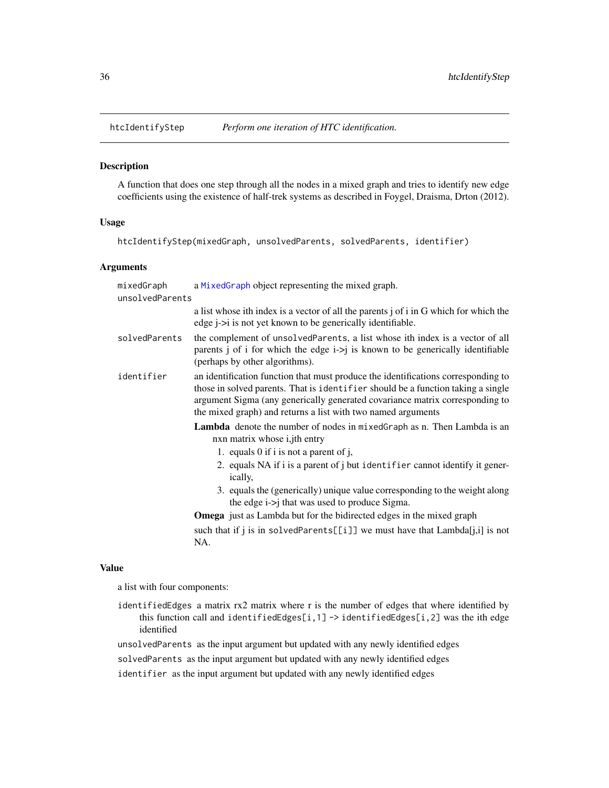<span id="page-35-1"></span><span id="page-35-0"></span>

A function that does one step through all the nodes in a mixed graph and tries to identify new edge coefficients using the existence of half-trek systems as described in Foygel, Draisma, Drton (2012).

#### Usage

```
htcIdentifyStep(mixedGraph, unsolvedParents, solvedParents, identifier)
```
#### Arguments

| mixedGraph      | a Mixed Graph object representing the mixed graph.                                                                                                                                                                                                                                                                    |  |
|-----------------|-----------------------------------------------------------------------------------------------------------------------------------------------------------------------------------------------------------------------------------------------------------------------------------------------------------------------|--|
| unsolvedParents |                                                                                                                                                                                                                                                                                                                       |  |
|                 | a list whose ith index is a vector of all the parents j of i in G which for which the<br>edge <i>j</i> -> <i>i</i> is not yet known to be generically identifiable.                                                                                                                                                   |  |
| solvedParents   | the complement of unsolvedParents, a list whose ith index is a vector of all<br>parents j of i for which the edge $i > j$ is known to be generically identifiable<br>(perhaps by other algorithms).                                                                                                                   |  |
| identifier      | an identification function that must produce the identifications corresponding to<br>those in solved parents. That is identifier should be a function taking a single<br>argument Sigma (any generically generated covariance matrix corresponding to<br>the mixed graph) and returns a list with two named arguments |  |
|                 | <b>Lambda</b> denote the number of nodes in mixed Graph as n. Then Lambda is an<br>nxn matrix whose <i>i</i> , jth entry                                                                                                                                                                                              |  |
|                 | 1. equals 0 if i is not a parent of j,                                                                                                                                                                                                                                                                                |  |
|                 | 2. equals NA if i is a parent of j but identifier cannot identify it gener-<br>ically,                                                                                                                                                                                                                                |  |
|                 | 3. equals the (generically) unique value corresponding to the weight along<br>the edge $i\rightarrow j$ that was used to produce Sigma.                                                                                                                                                                               |  |
|                 | <b>Omega</b> just as Lambda but for the bidirected edges in the mixed graph                                                                                                                                                                                                                                           |  |
|                 | such that if j is in solvedParents[[i]] we must have that $Lambda[j,i]$ is not<br>NA.                                                                                                                                                                                                                                 |  |
|                 |                                                                                                                                                                                                                                                                                                                       |  |

#### Value

a list with four components:

identifiedEdges a matrix rx2 matrix where r is the number of edges that where identified by this function call and identifiedEdges[i,1] -> identifiedEdges[i,2] was the ith edge identified

unsolvedParents as the input argument but updated with any newly identified edges

solvedParents as the input argument but updated with any newly identified edges

identifier as the input argument but updated with any newly identified edges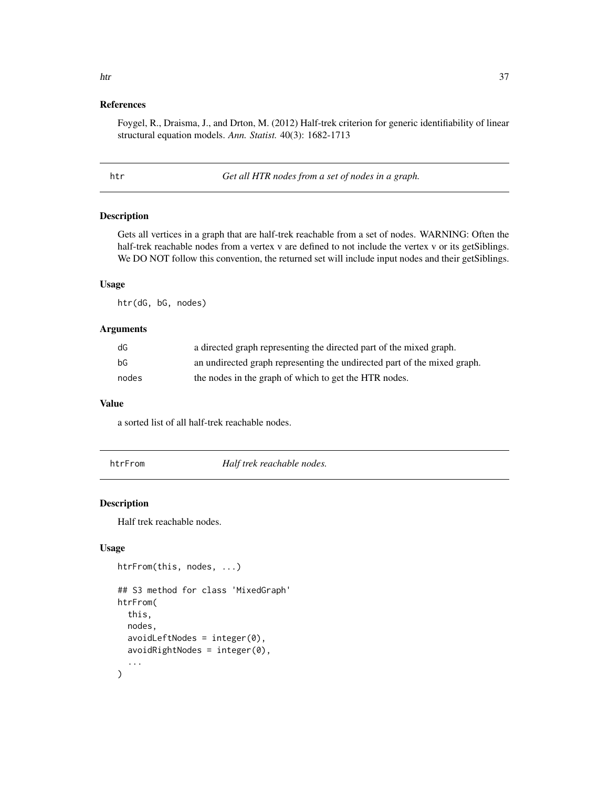# <span id="page-36-0"></span>References

Foygel, R., Draisma, J., and Drton, M. (2012) Half-trek criterion for generic identifiability of linear structural equation models. *Ann. Statist.* 40(3): 1682-1713

htr *Get all HTR nodes from a set of nodes in a graph.*

### Description

Gets all vertices in a graph that are half-trek reachable from a set of nodes. WARNING: Often the half-trek reachable nodes from a vertex v are defined to not include the vertex v or its getSiblings. We DO NOT follow this convention, the returned set will include input nodes and their getSiblings.

# Usage

htr(dG, bG, nodes)

# Arguments

| dG    | a directed graph representing the directed part of the mixed graph.      |
|-------|--------------------------------------------------------------------------|
| bG    | an undirected graph representing the undirected part of the mixed graph. |
| nodes | the nodes in the graph of which to get the HTR nodes.                    |

#### Value

a sorted list of all half-trek reachable nodes.

htrFrom *Half trek reachable nodes.*

#### Description

Half trek reachable nodes.

```
htrFrom(this, nodes, ...)
## S3 method for class 'MixedGraph'
htrFrom(
  this,
  nodes,
  avoidLeftNodes = integer(0),
  avoidRightNodes = integer(0),
  ...
\mathcal{E}
```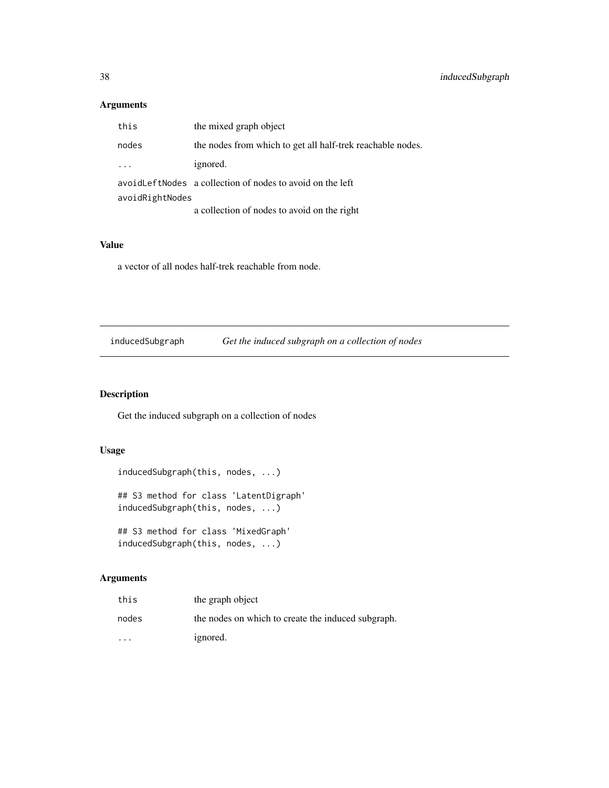# <span id="page-37-0"></span>Arguments

| this            | the mixed graph object                                      |  |
|-----------------|-------------------------------------------------------------|--|
| nodes           | the nodes from which to get all half-trek reachable nodes.  |  |
|                 | ignored.                                                    |  |
|                 | avoid Left Nodes a collection of nodes to avoid on the left |  |
| avoidRightNodes |                                                             |  |
|                 | a collection of nodes to avoid on the right                 |  |

#### Value

a vector of all nodes half-trek reachable from node.

inducedSubgraph *Get the induced subgraph on a collection of nodes*

# Description

Get the induced subgraph on a collection of nodes

# Usage

```
inducedSubgraph(this, nodes, ...)
```
## S3 method for class 'LatentDigraph' inducedSubgraph(this, nodes, ...)

## S3 method for class 'MixedGraph' inducedSubgraph(this, nodes, ...)

| this                 | the graph object                                   |
|----------------------|----------------------------------------------------|
| nodes                | the nodes on which to create the induced subgraph. |
| $\ddot{\phantom{0}}$ | ignored.                                           |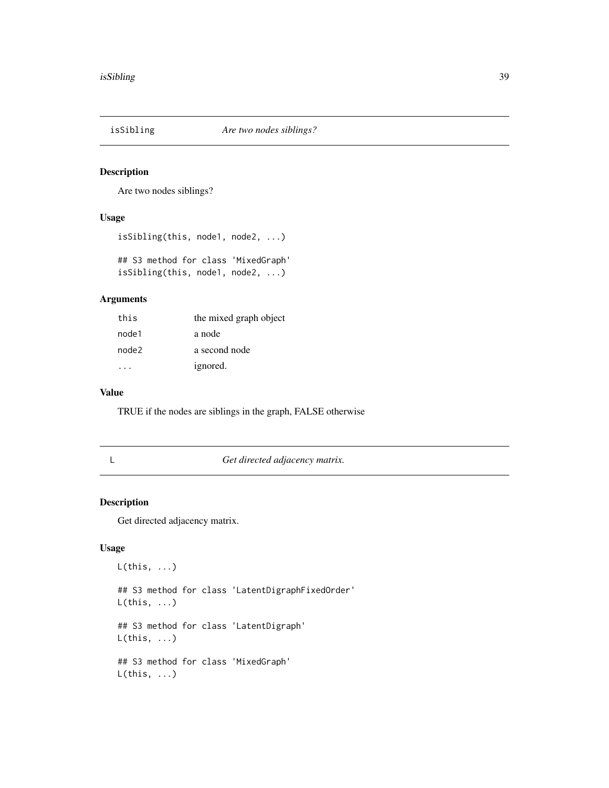<span id="page-38-0"></span>

Are two nodes siblings?

#### Usage

```
isSibling(this, node1, node2, ...)
## S3 method for class 'MixedGraph'
isSibling(this, node1, node2, ...)
```
#### Arguments

| this  | the mixed graph object |
|-------|------------------------|
| node1 | a node                 |
| node2 | a second node          |
|       | ignored.               |

#### Value

TRUE if the nodes are siblings in the graph, FALSE otherwise

#### L *Get directed adjacency matrix.*

#### Description

Get directed adjacency matrix.

# Usage

L(this, ...) ## S3 method for class 'LatentDigraphFixedOrder'  $L(this, ...)$ ## S3 method for class 'LatentDigraph'  $L(this, ...)$ ## S3 method for class 'MixedGraph'  $L(this, ...)$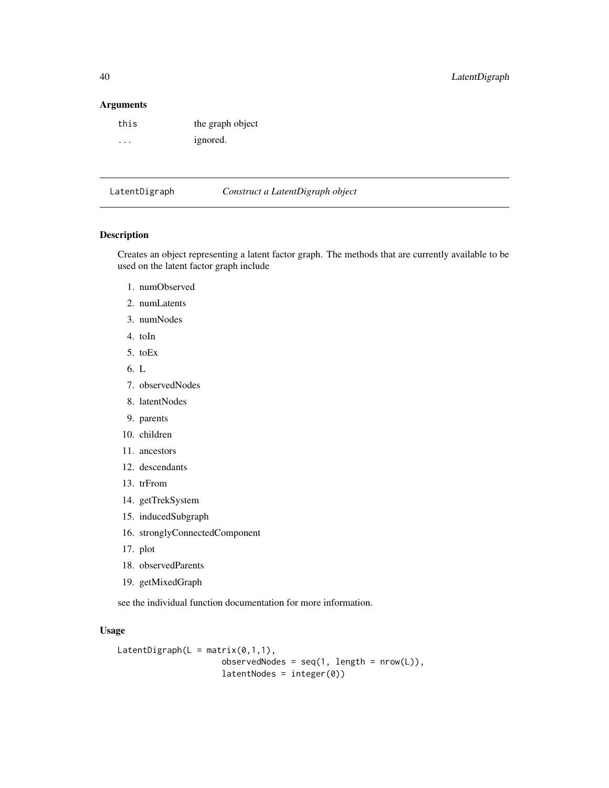#### Arguments

| this                    | the graph object |
|-------------------------|------------------|
| $\cdot$ $\cdot$ $\cdot$ | ignored.         |

<span id="page-39-1"></span>LatentDigraph *Construct a LatentDigraph object*

# Description

Creates an object representing a latent factor graph. The methods that are currently available to be used on the latent factor graph include

- 1. numObserved
- 2. numLatents
- 3. numNodes
- 4. toIn
- 5. toEx
- 6. L
- 7. observedNodes
- 8. latentNodes
- 9. parents
- 10. children
- 11. ancestors
- 12. descendants
- 13. trFrom
- 14. getTrekSystem
- 15. inducedSubgraph
- 16. stronglyConnectedComponent
- 17. plot
- 18. observedParents
- 19. getMixedGraph

see the individual function documentation for more information.

```
LatentDigraph(L = matrix(0,1,1),
                     observedNodes = seq(1, length = nrow(L)),latentNodes = integer(0))
```
<span id="page-39-0"></span>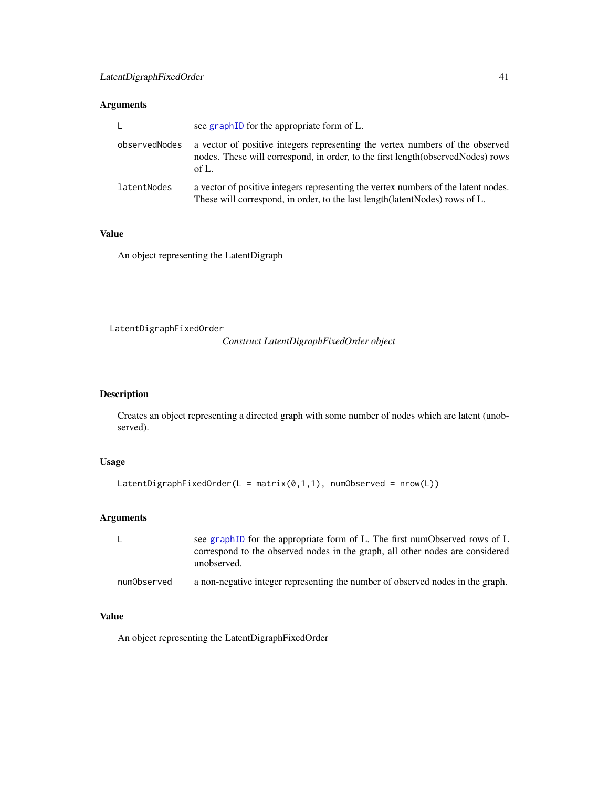# <span id="page-40-0"></span>Arguments

| $\mathsf{L}$  | see graph ID for the appropriate form of L.                                                                                                                                 |  |
|---------------|-----------------------------------------------------------------------------------------------------------------------------------------------------------------------------|--|
| observedNodes | a vector of positive integers representing the vertex numbers of the observed<br>nodes. These will correspond, in order, to the first length (observed Nodes) rows<br>of L. |  |
| latentNodes   | a vector of positive integers representing the vertex numbers of the latent nodes.<br>These will correspond, in order, to the last length (latent Nodes) rows of L.         |  |

#### Value

An object representing the LatentDigraph

LatentDigraphFixedOrder

*Construct LatentDigraphFixedOrder object*

# Description

Creates an object representing a directed graph with some number of nodes which are latent (unobserved).

# Usage

```
LatentDigraphFixedOrder(L = matrix(0,1,1), numObserved = nrow(L))
```
# Arguments

|             | see graphID for the appropriate form of L. The first numObserved rows of L<br>correspond to the observed nodes in the graph, all other nodes are considered<br>unobserved. |
|-------------|----------------------------------------------------------------------------------------------------------------------------------------------------------------------------|
| numObserved | a non-negative integer representing the number of observed nodes in the graph.                                                                                             |

# Value

An object representing the LatentDigraphFixedOrder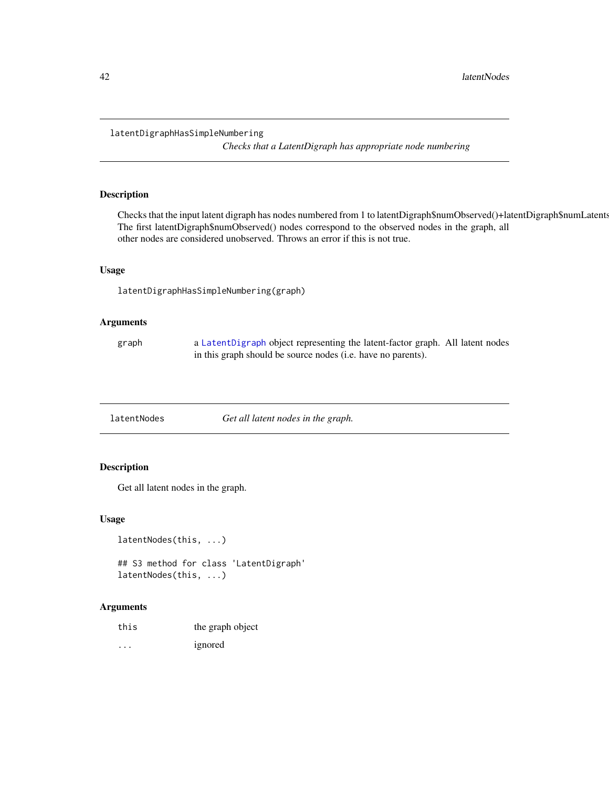#### <span id="page-41-0"></span>latentDigraphHasSimpleNumbering

*Checks that a LatentDigraph has appropriate node numbering*

# Description

Checks that the input latent digraph has nodes numbered from 1 to latentDigraph\$numObserved()+latentDigraph\$numLatents(). The first latentDigraph\$numObserved() nodes correspond to the observed nodes in the graph, all other nodes are considered unobserved. Throws an error if this is not true.

#### Usage

latentDigraphHasSimpleNumbering(graph)

# Arguments

| graph | a LatentDigraph object representing the latent-factor graph. All latent nodes |
|-------|-------------------------------------------------------------------------------|
|       | in this graph should be source nodes (i.e. have no parents).                  |

# Description

Get all latent nodes in the graph.

#### Usage

```
latentNodes(this, ...)
## S3 method for class 'LatentDigraph'
latentNodes(this, ...)
```

| this | the graph object |
|------|------------------|
| .    | ignored          |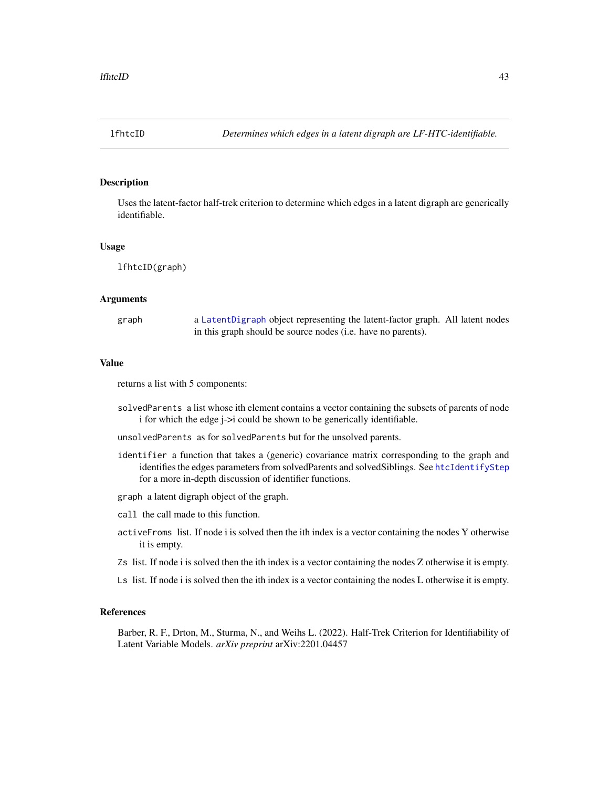<span id="page-42-1"></span><span id="page-42-0"></span>

Uses the latent-factor half-trek criterion to determine which edges in a latent digraph are generically identifiable.

#### Usage

lfhtcID(graph)

#### Arguments

graph a [LatentDigraph](#page-39-1) object representing the latent-factor graph. All latent nodes in this graph should be source nodes (i.e. have no parents).

#### Value

returns a list with 5 components:

solvedParents a list whose ith element contains a vector containing the subsets of parents of node i for which the edge j->i could be shown to be generically identifiable.

unsolvedParents as for solvedParents but for the unsolved parents.

- identifier a function that takes a (generic) covariance matrix corresponding to the graph and identifies the edges parameters from solvedParents and solvedSiblings. See [htcIdentifyStep](#page-35-1) for a more in-depth discussion of identifier functions.
- graph a latent digraph object of the graph.
- call the call made to this function.
- activeFroms list. If node i is solved then the ith index is a vector containing the nodes Y otherwise it is empty.
- Zs list. If node i is solved then the ith index is a vector containing the nodes Z otherwise it is empty.
- Ls list. If node i is solved then the ith index is a vector containing the nodes L otherwise it is empty.

#### References

Barber, R. F., Drton, M., Sturma, N., and Weihs L. (2022). Half-Trek Criterion for Identifiability of Latent Variable Models. *arXiv preprint* arXiv:2201.04457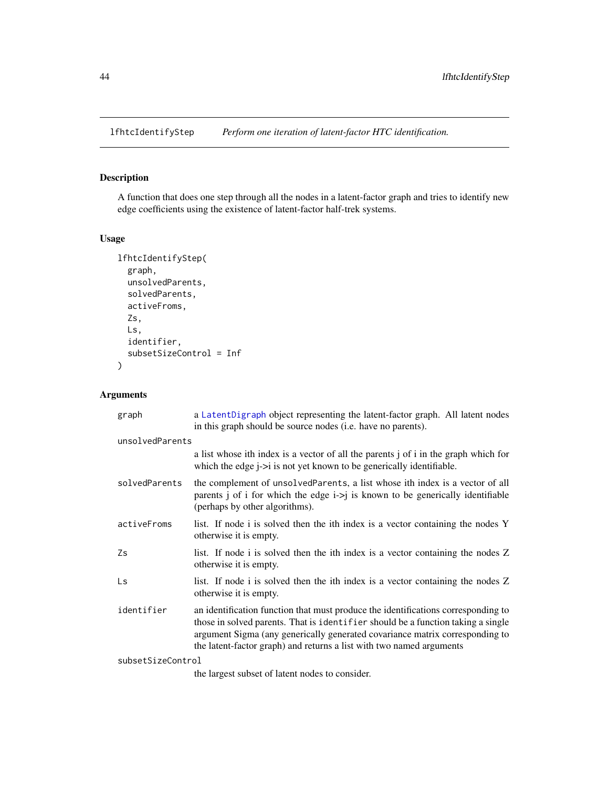<span id="page-43-1"></span><span id="page-43-0"></span>

A function that does one step through all the nodes in a latent-factor graph and tries to identify new edge coefficients using the existence of latent-factor half-trek systems.

# Usage

```
lfhtcIdentifyStep(
  graph,
 unsolvedParents,
  solvedParents,
  activeFroms,
  Zs,
 Ls,
  identifier,
  subsetSizeControl = Inf
)
```

| graph             | a LatentDigraph object representing the latent-factor graph. All latent nodes<br>in this graph should be source nodes (i.e. have no parents).                                                                                                                                                                                 |  |
|-------------------|-------------------------------------------------------------------------------------------------------------------------------------------------------------------------------------------------------------------------------------------------------------------------------------------------------------------------------|--|
| unsolvedParents   |                                                                                                                                                                                                                                                                                                                               |  |
|                   | a list whose ith index is a vector of all the parents j of i in the graph which for<br>which the edge $i\rightarrow i$ is not yet known to be generically identifiable.                                                                                                                                                       |  |
| solvedParents     | the complement of unsolved Parents, a list whose ith index is a vector of all<br>parents j of i for which the edge $i > j$ is known to be generically identifiable<br>(perhaps by other algorithms).                                                                                                                          |  |
| activeFroms       | list. If node i is solved then the ith index is a vector containing the nodes Y<br>otherwise it is empty.                                                                                                                                                                                                                     |  |
| Zs                | list. If node i is solved then the ith index is a vector containing the nodes Z<br>otherwise it is empty.                                                                                                                                                                                                                     |  |
| Ls                | list. If node i is solved then the ith index is a vector containing the nodes Z<br>otherwise it is empty.                                                                                                                                                                                                                     |  |
| identifier        | an identification function that must produce the identifications corresponding to<br>those in solved parents. That is identifier should be a function taking a single<br>argument Sigma (any generically generated covariance matrix corresponding to<br>the latent-factor graph) and returns a list with two named arguments |  |
| subsetSizeControl |                                                                                                                                                                                                                                                                                                                               |  |
|                   | the largest subset of latent nodes to consider.                                                                                                                                                                                                                                                                               |  |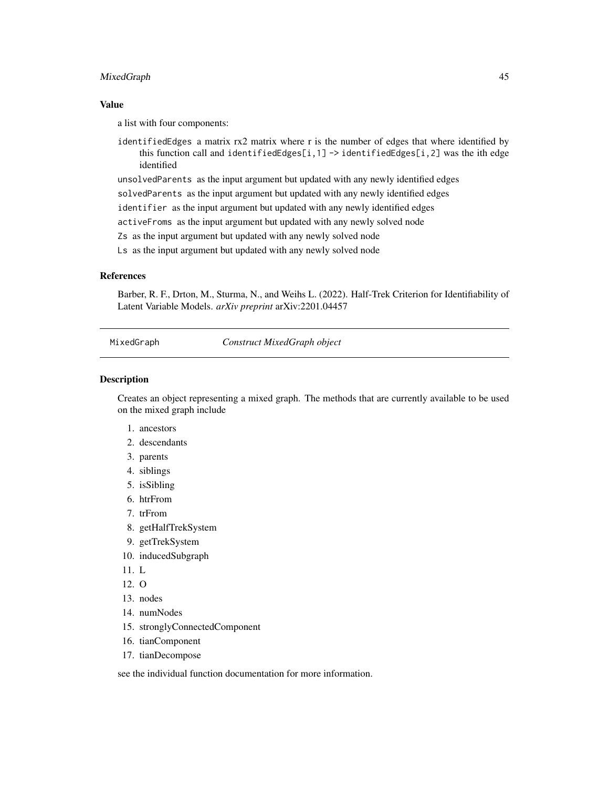#### <span id="page-44-0"></span>MixedGraph 45

#### Value

a list with four components:

identifiedEdges a matrix rx2 matrix where r is the number of edges that where identified by this function call and identifiedEdges[i,1] -> identifiedEdges[i,2] was the ith edge identified

unsolvedParents as the input argument but updated with any newly identified edges

solvedParents as the input argument but updated with any newly identified edges

identifier as the input argument but updated with any newly identified edges

activeFroms as the input argument but updated with any newly solved node

Zs as the input argument but updated with any newly solved node

Ls as the input argument but updated with any newly solved node

#### References

Barber, R. F., Drton, M., Sturma, N., and Weihs L. (2022). Half-Trek Criterion for Identifiability of Latent Variable Models. *arXiv preprint* arXiv:2201.04457

<span id="page-44-1"></span>MixedGraph *Construct MixedGraph object*

#### Description

Creates an object representing a mixed graph. The methods that are currently available to be used on the mixed graph include

- 1. ancestors
- 2. descendants
- 3. parents
- 4. siblings
- 5. isSibling
- 6. htrFrom
- 7. trFrom
- 8. getHalfTrekSystem
- 9. getTrekSystem
- 10. inducedSubgraph
- 11. L
- 12. O
- 13. nodes
- 14. numNodes
- 15. stronglyConnectedComponent
- 16. tianComponent
- 17. tianDecompose

see the individual function documentation for more information.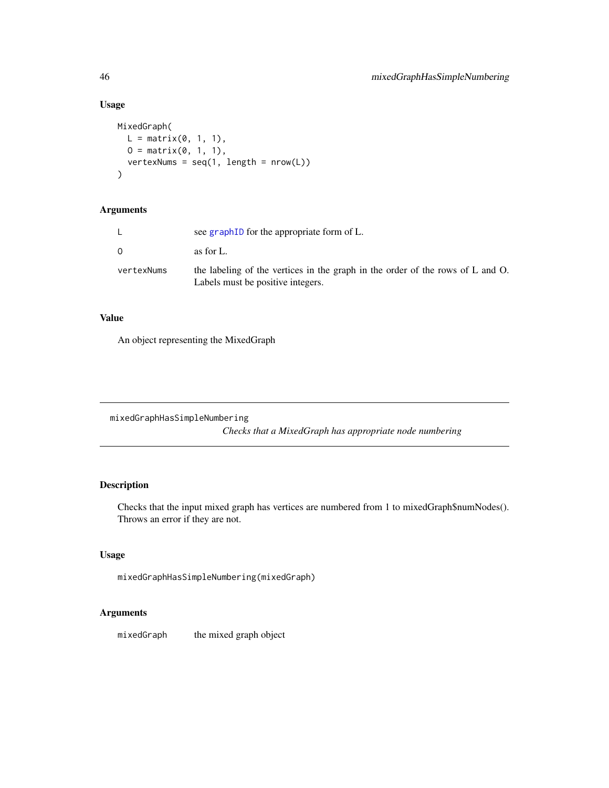# Usage

```
MixedGraph(
 L = matrix(0, 1, 1),0 = matrix(0, 1, 1),vertexNums = seq(1, length = nrow(L))
)
```
# Arguments

|            | see graph ID for the appropriate form of L.                                                                         |
|------------|---------------------------------------------------------------------------------------------------------------------|
| 0.         | as for L.                                                                                                           |
| vertexNums | the labeling of the vertices in the graph in the order of the rows of L and O.<br>Labels must be positive integers. |

# Value

An object representing the MixedGraph

mixedGraphHasSimpleNumbering

*Checks that a MixedGraph has appropriate node numbering*

# Description

Checks that the input mixed graph has vertices are numbered from 1 to mixedGraph\$numNodes(). Throws an error if they are not.

# Usage

mixedGraphHasSimpleNumbering(mixedGraph)

# Arguments

mixedGraph the mixed graph object

<span id="page-45-0"></span>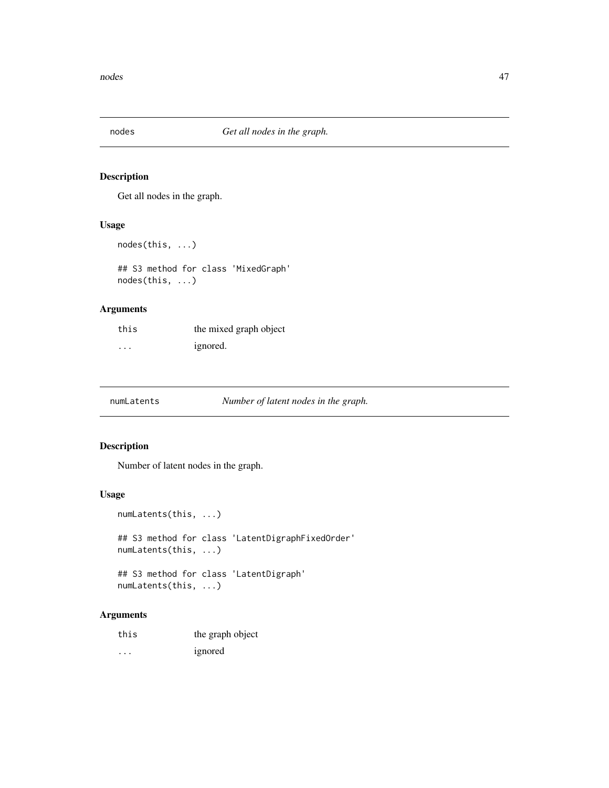<span id="page-46-0"></span>

Get all nodes in the graph.

# Usage

```
nodes(this, ...)
```
## S3 method for class 'MixedGraph' nodes(this, ...)

# Arguments

| this | the mixed graph object |
|------|------------------------|
| .    | ignored.               |

numLatents *Number of latent nodes in the graph.*

# Description

Number of latent nodes in the graph.

#### Usage

numLatents(this, ...) ## S3 method for class 'LatentDigraphFixedOrder' numLatents(this, ...) ## S3 method for class 'LatentDigraph' numLatents(this, ...)

| this | the graph object |
|------|------------------|
| .    | ignored          |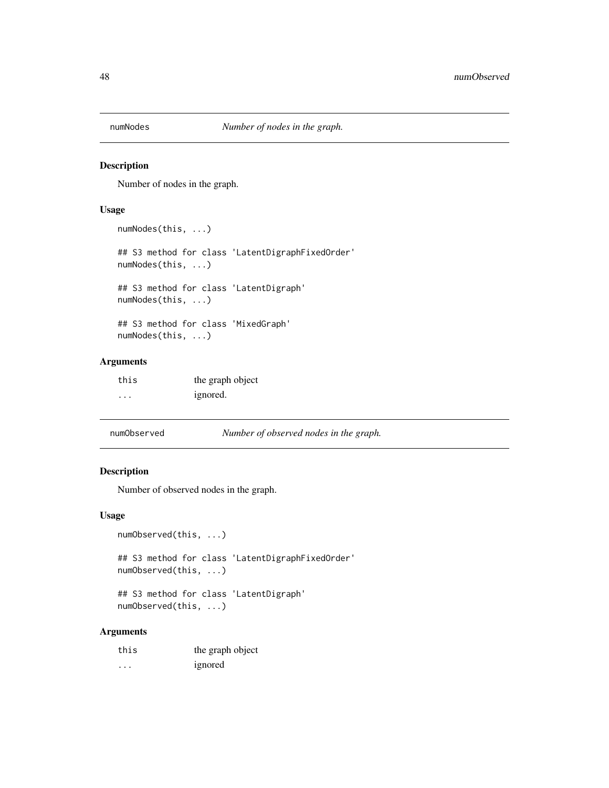<span id="page-47-0"></span>

Number of nodes in the graph.

#### Usage

numNodes(this, ...)

## S3 method for class 'LatentDigraphFixedOrder' numNodes(this, ...)

## S3 method for class 'LatentDigraph' numNodes(this, ...)

## S3 method for class 'MixedGraph' numNodes(this, ...)

# Arguments

| this | the graph object |
|------|------------------|
| .    | ignored.         |

| numObserved | Number of observed nodes in the graph. |
|-------------|----------------------------------------|
|-------------|----------------------------------------|

# Description

Number of observed nodes in the graph.

#### Usage

```
numObserved(this, ...)
```
## S3 method for class 'LatentDigraphFixedOrder' numObserved(this, ...)

## S3 method for class 'LatentDigraph' numObserved(this, ...)

| this | the graph object |
|------|------------------|
| .    | ignored          |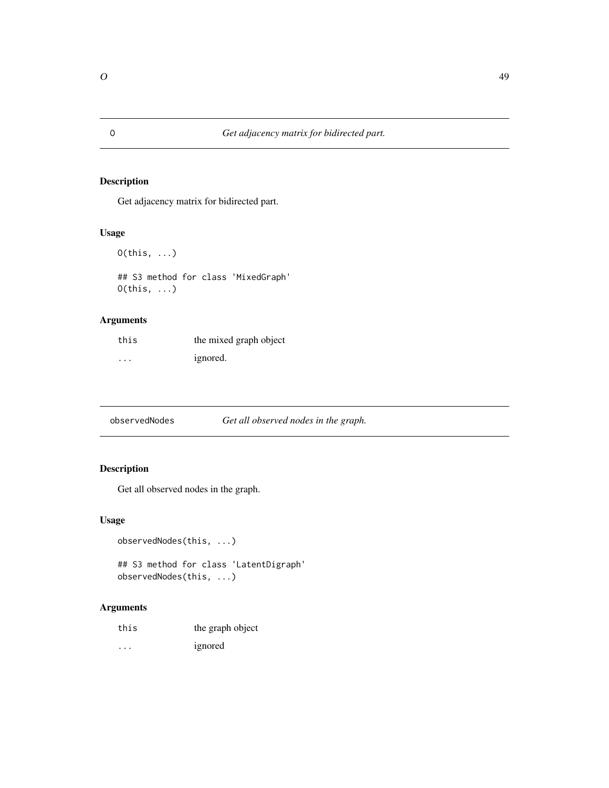Get adjacency matrix for bidirected part.

# Usage

```
O(this, \ldots)
```
## S3 method for class 'MixedGraph' O(this, ...)

# Arguments

| this | the mixed graph object |
|------|------------------------|
| .    | ignored.               |

observedNodes *Get all observed nodes in the graph.*

# Description

Get all observed nodes in the graph.

#### Usage

```
observedNodes(this, ...)
```

```
## S3 method for class 'LatentDigraph'
observedNodes(this, ...)
```

| this | the graph object |
|------|------------------|
| .    | ignored          |

<span id="page-48-0"></span>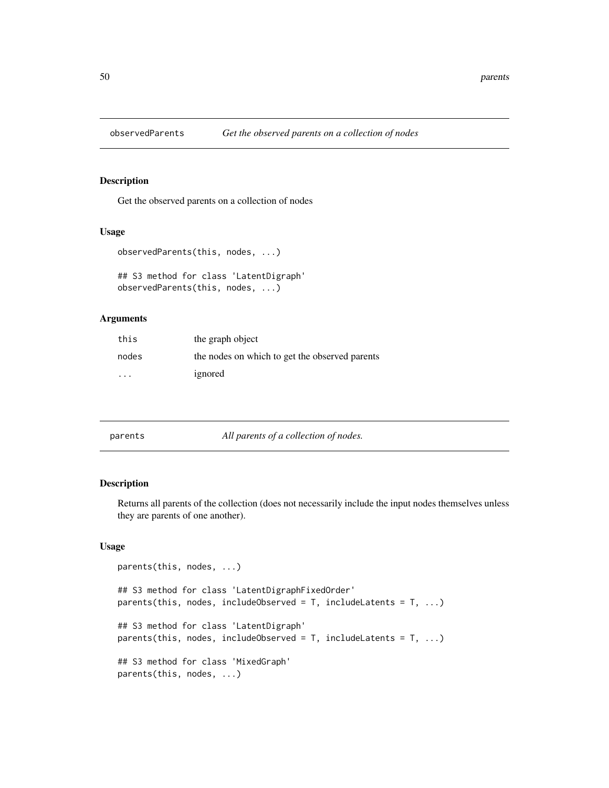<span id="page-49-0"></span>

Get the observed parents on a collection of nodes

#### Usage

```
observedParents(this, nodes, ...)
```

```
## S3 method for class 'LatentDigraph'
observedParents(this, nodes, ...)
```
# Arguments

| this                    | the graph object                               |
|-------------------------|------------------------------------------------|
| nodes                   | the nodes on which to get the observed parents |
| $\cdot$ $\cdot$ $\cdot$ | ignored                                        |

| parents |  |
|---------|--|

#### parents *All parents of a collection of nodes.*

# Description

Returns all parents of the collection (does not necessarily include the input nodes themselves unless they are parents of one another).

```
parents(this, nodes, ...)
## S3 method for class 'LatentDigraphFixedOrder'
parents(this, nodes, includeObserved = T, includeLatents = T, ...)
## S3 method for class 'LatentDigraph'
parents(this, nodes, includeObserved = T, includeLatents = T, ...)
## S3 method for class 'MixedGraph'
parents(this, nodes, ...)
```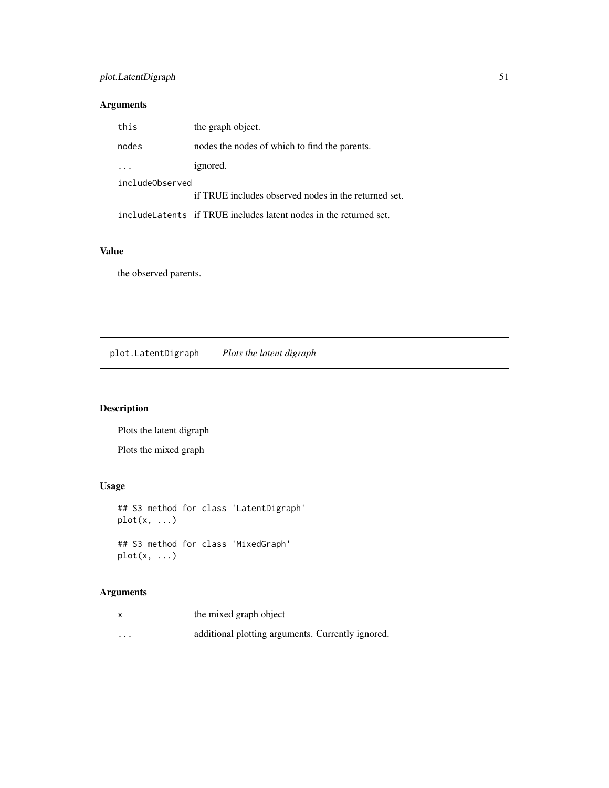# <span id="page-50-0"></span>plot.LatentDigraph 51

# Arguments

| this            | the graph object.                                                  |  |
|-----------------|--------------------------------------------------------------------|--|
| nodes           | nodes the nodes of which to find the parents.                      |  |
|                 | ignored.                                                           |  |
| includeObserved |                                                                    |  |
|                 | if TRUE includes observed nodes in the returned set.               |  |
|                 | include Latents if TRUE includes latent nodes in the returned set. |  |

# Value

the observed parents.

plot.LatentDigraph *Plots the latent digraph*

# Description

Plots the latent digraph

Plots the mixed graph

# Usage

## S3 method for class 'LatentDigraph' plot(x, ...) ## S3 method for class 'MixedGraph' plot(x, ...)

| x        | the mixed graph object                            |
|----------|---------------------------------------------------|
| $\cdots$ | additional plotting arguments. Currently ignored. |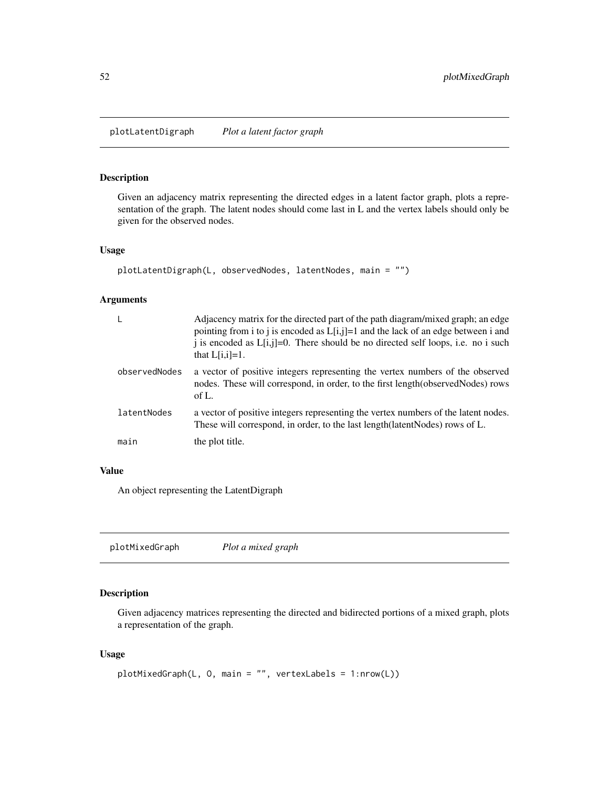<span id="page-51-0"></span>plotLatentDigraph *Plot a latent factor graph*

#### Description

Given an adjacency matrix representing the directed edges in a latent factor graph, plots a representation of the graph. The latent nodes should come last in L and the vertex labels should only be given for the observed nodes.

#### Usage

```
plotLatentDigraph(L, observedNodes, latentNodes, main = "")
```
#### Arguments

|               | Adjacency matrix for the directed part of the path diagram/mixed graph; an edge<br>pointing from i to j is encoded as $L[i,j]=1$ and the lack of an edge between i and<br>i is encoded as $L[i,j]=0$ . There should be no directed self loops, i.e. no i such<br>that $L[i,i]=1$ . |
|---------------|------------------------------------------------------------------------------------------------------------------------------------------------------------------------------------------------------------------------------------------------------------------------------------|
| observedNodes | a vector of positive integers representing the vertex numbers of the observed<br>nodes. These will correspond, in order, to the first length (observed Nodes) rows<br>of L.                                                                                                        |
| latentNodes   | a vector of positive integers representing the vertex numbers of the latent nodes.<br>These will correspond, in order, to the last length (latent Nodes) rows of L.                                                                                                                |
| main          | the plot title.                                                                                                                                                                                                                                                                    |

# Value

An object representing the LatentDigraph

plotMixedGraph *Plot a mixed graph*

# Description

Given adjacency matrices representing the directed and bidirected portions of a mixed graph, plots a representation of the graph.

```
plotMixedGraph(L, O, main = "", vertexLabels = 1:nrow(L))
```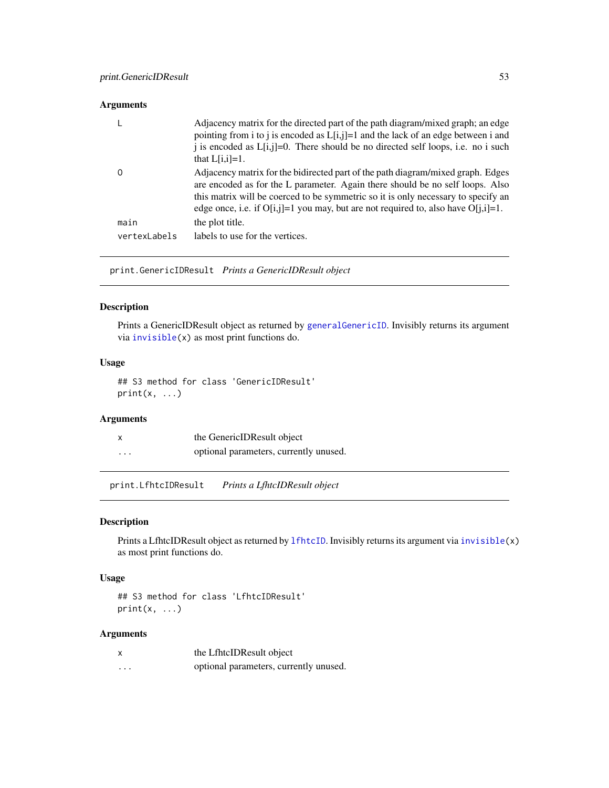#### <span id="page-52-0"></span>Arguments

|              | Adjacency matrix for the directed part of the path diagram/mixed graph; an edge<br>pointing from i to j is encoded as $L[i,j]=1$ and the lack of an edge between i and<br>i is encoded as $L[i,j]=0$ . There should be no directed self loops, i.e. no i such<br>that $L[i,i]=1$ .                                                              |
|--------------|-------------------------------------------------------------------------------------------------------------------------------------------------------------------------------------------------------------------------------------------------------------------------------------------------------------------------------------------------|
|              | Adjacency matrix for the bidirected part of the path diagram/mixed graph. Edges<br>are encoded as for the L parameter. Again there should be no self loops. Also<br>this matrix will be coerced to be symmetric so it is only necessary to specify an<br>edge once, i.e. if $O[i,j]=1$ you may, but are not required to, also have $O[i,j]=1$ . |
| main         | the plot title.                                                                                                                                                                                                                                                                                                                                 |
| vertexLabels | labels to use for the vertices.                                                                                                                                                                                                                                                                                                                 |
|              |                                                                                                                                                                                                                                                                                                                                                 |

print.GenericIDResult *Prints a GenericIDResult object*

#### Description

Prints a GenericIDResult object as returned by [generalGenericID](#page-19-1). Invisibly returns its argument via [invisible\(](#page-0-0)x) as most print functions do.

#### Usage

## S3 method for class 'GenericIDResult'  $print(x, \ldots)$ 

# Arguments

| X        | the GenericIDResult object             |
|----------|----------------------------------------|
| $\cdots$ | optional parameters, currently unused. |

print.LfhtcIDResult *Prints a LfhtcIDResult object*

#### Description

Prints a LfhtcIDResult object as returned by 1fhtcID. Invisibly returns its argument via [invisible\(](#page-0-0)x) as most print functions do.

#### Usage

```
## S3 method for class 'LfhtcIDResult'
print(x, \ldots)
```

| $\boldsymbol{\mathsf{x}}$ | the LfhtcIDResult object               |
|---------------------------|----------------------------------------|
| $\cdots$                  | optional parameters, currently unused. |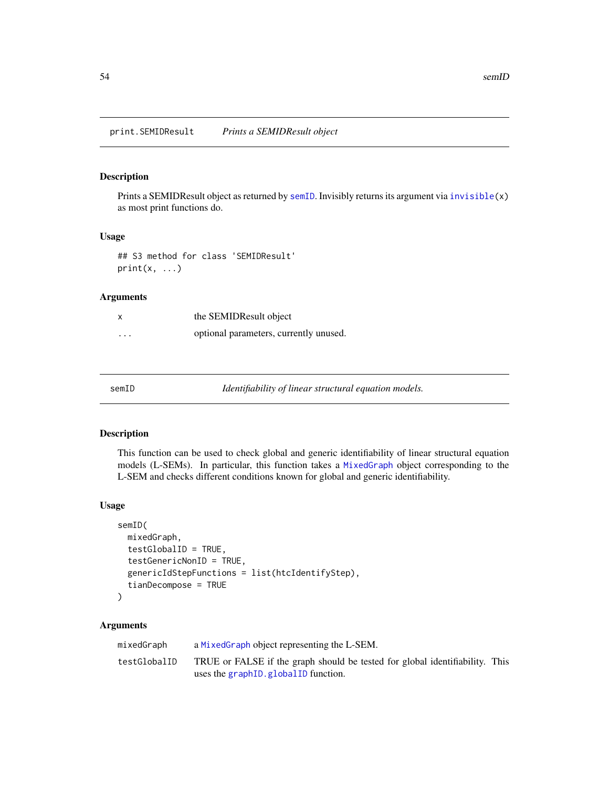<span id="page-53-0"></span>Prints a SEMIDResult object as returned by [semID](#page-53-1). Invisibly returns its argument via [invisible\(](#page-0-0)x) as most print functions do.

#### Usage

## S3 method for class 'SEMIDResult'  $print(x, \ldots)$ 

### Arguments

| x        | the SEMIDResult object                 |
|----------|----------------------------------------|
| $\cdots$ | optional parameters, currently unused. |

<span id="page-53-1"></span>

Identifiability of linear structural equation models.

#### Description

This function can be used to check global and generic identifiability of linear structural equation models (L-SEMs). In particular, this function takes a [MixedGraph](#page-44-1) object corresponding to the L-SEM and checks different conditions known for global and generic identifiability.

#### Usage

```
semID(
 mixedGraph,
  testGlobalID = TRUE,
  testGenericNonID = TRUE,
  genericIdStepFunctions = list(htcIdentifyStep),
  tianDecompose = TRUE
\mathcal{L}
```

| mixedGraph   | a MixedGraph object representing the L-SEM.                                                                            |  |
|--------------|------------------------------------------------------------------------------------------------------------------------|--|
| testGlobalID | TRUE or FALSE if the graph should be tested for global identifiability. This<br>uses the graph ID. global ID function. |  |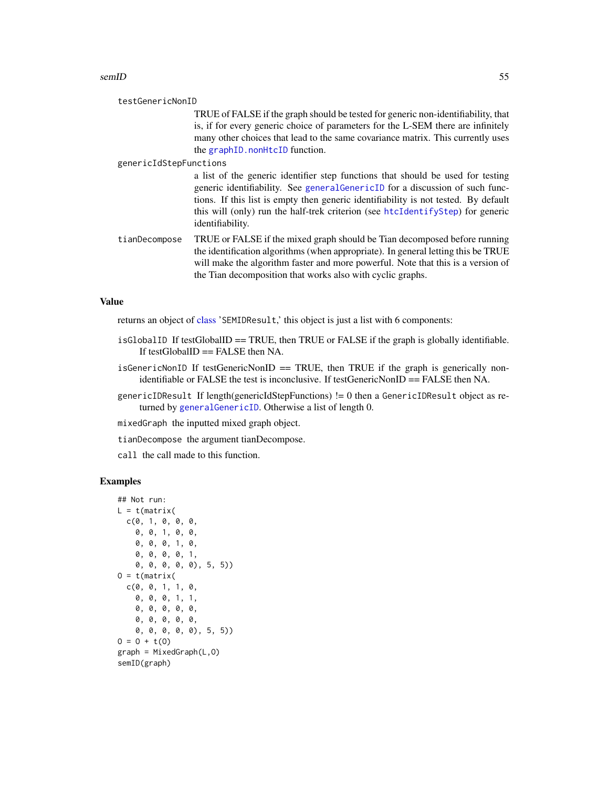#### <span id="page-54-0"></span>semID 55

TRUE of FALSE if the graph should be tested for generic non-identifiability, that is, if for every generic choice of parameters for the L-SEM there are infinitely many other choices that lead to the same covariance matrix. This currently uses the [graphID.nonHtcID](#page-33-1) function.

genericIdStepFunctions

a list of the generic identifier step functions that should be used for testing generic identifiability. See [generalGenericID](#page-19-1) for a discussion of such functions. If this list is empty then generic identifiability is not tested. By default this will (only) run the half-trek criterion (see [htcIdentifyStep](#page-35-1)) for generic identifiability.

tianDecompose TRUE or FALSE if the mixed graph should be Tian decomposed before running the identification algorithms (when appropriate). In general letting this be TRUE will make the algorithm faster and more powerful. Note that this is a version of the Tian decomposition that works also with cyclic graphs.

#### Value

returns an object of [class](#page-0-0) 'SEMIDResult,' this object is just a list with 6 components:

- isGlobalID If testGlobalID  $==$  TRUE, then TRUE or FALSE if the graph is globally identifiable. If testGlobalID  $==$  FALSE then NA.
- isGenericNonID If testGenericNonID  $==$  TRUE, then TRUE if the graph is generically nonidentifiable or FALSE the test is inconclusive. If testGenericNonID == FALSE then NA.
- genericIDResult If length(genericIdStepFunctions) != 0 then a GenericIDResult object as returned by [generalGenericID](#page-19-1). Otherwise a list of length 0.

mixedGraph the inputted mixed graph object.

tianDecompose the argument tianDecompose.

call the call made to this function.

# Examples

```
## Not run:
L = t(matrix)c(0, 1, 0, 0, 0,
    0, 0, 1, 0, 0,
    0, 0, 0, 1, 0,
    0, 0, 0, 0, 1,
    0, 0, 0, 0, 0), 5, 5))
0 = t(matrix)c(0, 0, 1, 1, 0,
    0, 0, 0, 1, 1,
    0, 0, 0, 0, 0,
    0, 0, 0, 0, 0,
    0, 0, 0, 0, 0), 5, 5))
0 = 0 + t(0)graph = MixedGraph(L, 0)semID(graph)
```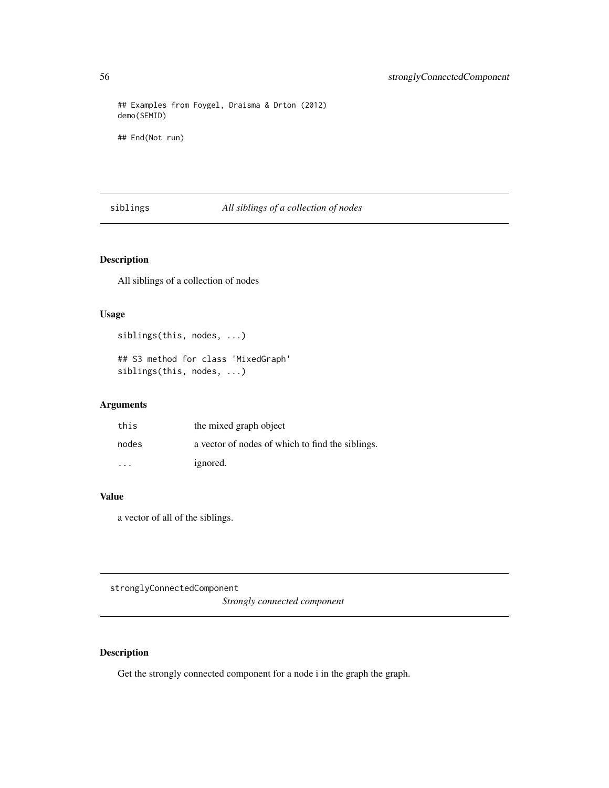## Examples from Foygel, Draisma & Drton (2012) demo(SEMID)

## End(Not run)

# siblings *All siblings of a collection of nodes*

# Description

All siblings of a collection of nodes

#### Usage

siblings(this, nodes, ...)

## S3 method for class 'MixedGraph' siblings(this, nodes, ...)

# Arguments

| this    | the mixed graph object                           |
|---------|--------------------------------------------------|
| nodes   | a vector of nodes of which to find the siblings. |
| $\cdot$ | ignored.                                         |

#### Value

a vector of all of the siblings.

stronglyConnectedComponent *Strongly connected component*

# Description

Get the strongly connected component for a node i in the graph the graph.

<span id="page-55-0"></span>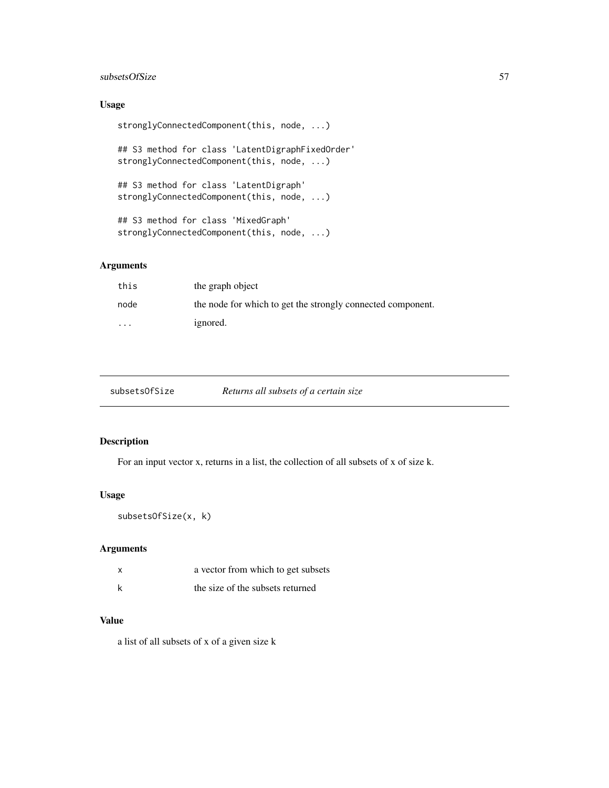#### <span id="page-56-0"></span>subsetsOfSize 57

# Usage

```
stronglyConnectedComponent(this, node, ...)
```
## S3 method for class 'LatentDigraphFixedOrder' stronglyConnectedComponent(this, node, ...)

```
## S3 method for class 'LatentDigraph'
stronglyConnectedComponent(this, node, ...)
```

```
## S3 method for class 'MixedGraph'
stronglyConnectedComponent(this, node, ...)
```
# Arguments

| this    | the graph object                                            |
|---------|-------------------------------------------------------------|
| node    | the node for which to get the strongly connected component. |
| $\cdot$ | ignored.                                                    |

| subsetsOfSize | Retui |
|---------------|-------|
|               |       |

```
 all subsets of a certain size
```
# Description

For an input vector x, returns in a list, the collection of all subsets of x of size k.

#### Usage

```
subsetsOfSize(x, k)
```
#### Arguments

| x | a vector from which to get subsets |
|---|------------------------------------|
| k | the size of the subsets returned   |

#### Value

a list of all subsets of x of a given size k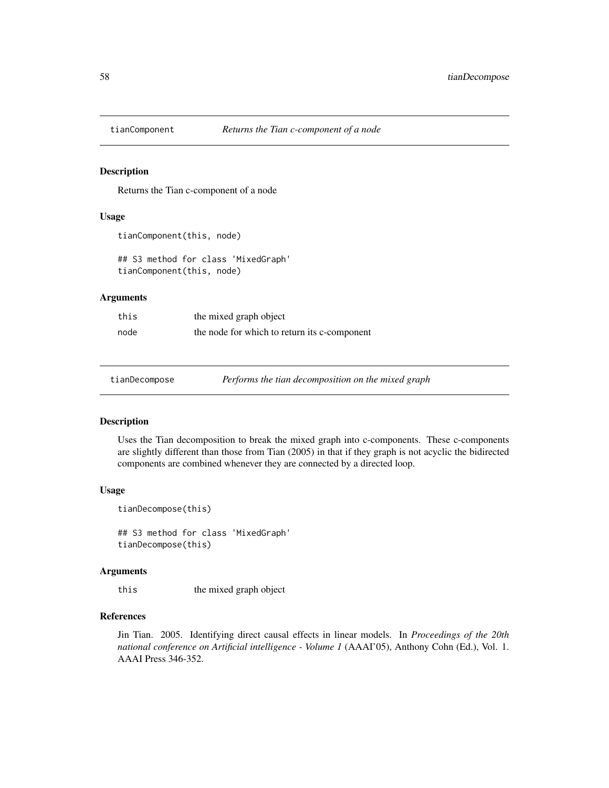<span id="page-57-0"></span>

Returns the Tian c-component of a node

#### Usage

```
tianComponent(this, node)
```
## S3 method for class 'MixedGraph' tianComponent(this, node)

#### Arguments

| this | the mixed graph object                       |
|------|----------------------------------------------|
| node | the node for which to return its c-component |

<span id="page-57-1"></span>tianDecompose *Performs the tian decomposition on the mixed graph*

# Description

Uses the Tian decomposition to break the mixed graph into c-components. These c-components are slightly different than those from Tian (2005) in that if they graph is not acyclic the bidirected components are combined whenever they are connected by a directed loop.

#### Usage

tianDecompose(this)

## S3 method for class 'MixedGraph' tianDecompose(this)

#### Arguments

this the mixed graph object

# References

Jin Tian. 2005. Identifying direct causal effects in linear models. In *Proceedings of the 20th national conference on Artificial intelligence - Volume 1* (AAAI'05), Anthony Cohn (Ed.), Vol. 1. AAAI Press 346-352.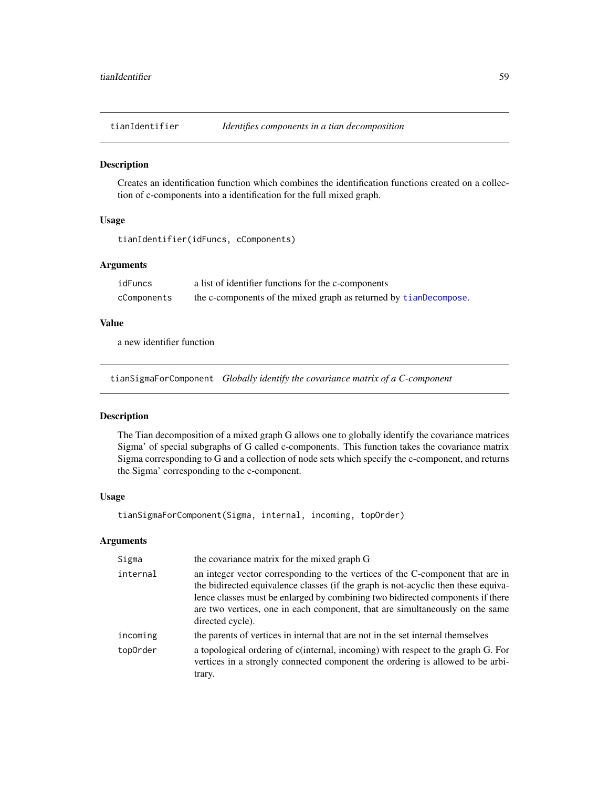<span id="page-58-0"></span>

Creates an identification function which combines the identification functions created on a collection of c-components into a identification for the full mixed graph.

#### Usage

```
tianIdentifier(idFuncs, cComponents)
```
#### Arguments

| idFuncs     | a list of identifier functions for the c-components               |
|-------------|-------------------------------------------------------------------|
| cComponents | the c-components of the mixed graph as returned by tianDecompose. |

#### Value

a new identifier function

tianSigmaForComponent *Globally identify the covariance matrix of a C-component*

#### Description

The Tian decomposition of a mixed graph G allows one to globally identify the covariance matrices Sigma' of special subgraphs of G called c-components. This function takes the covariance matrix Sigma corresponding to G and a collection of node sets which specify the c-component, and returns the Sigma' corresponding to the c-component.

#### Usage

tianSigmaForComponent(Sigma, internal, incoming, topOrder)

| Sigma    | the covariance matrix for the mixed graph G                                                                                                                                                                                                                                                                                                                |
|----------|------------------------------------------------------------------------------------------------------------------------------------------------------------------------------------------------------------------------------------------------------------------------------------------------------------------------------------------------------------|
| internal | an integer vector corresponding to the vertices of the C-component that are in<br>the bidirected equivalence classes (if the graph is not-acyclic then these equiva-<br>lence classes must be enlarged by combining two bidirected components if there<br>are two vertices, one in each component, that are simultaneously on the same<br>directed cycle). |
| incoming | the parents of vertices in internal that are not in the set internal themselves                                                                                                                                                                                                                                                                            |
| topOrder | a topological ordering of c(internal, incoming) with respect to the graph G. For<br>vertices in a strongly connected component the ordering is allowed to be arbi-<br>trary.                                                                                                                                                                               |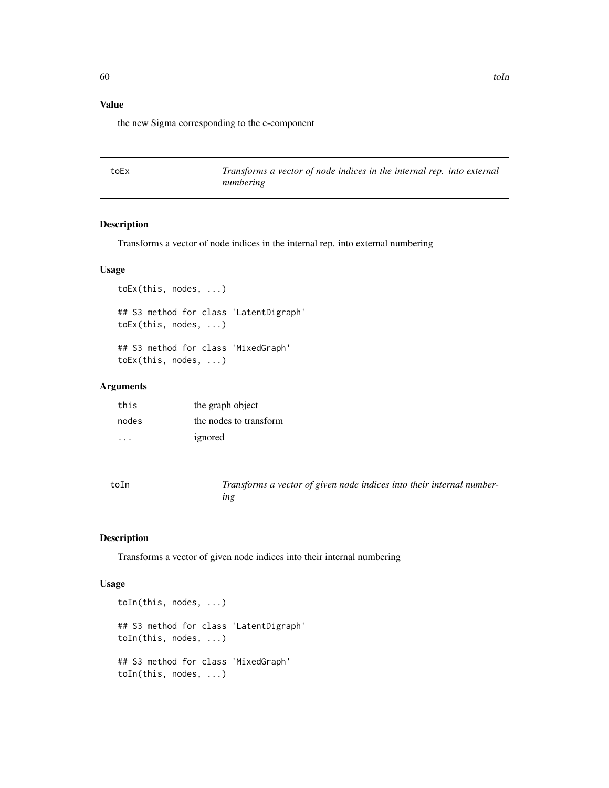# <span id="page-59-0"></span>Value

the new Sigma corresponding to the c-component

toEx *Transforms a vector of node indices in the internal rep. into external numbering*

# Description

Transforms a vector of node indices in the internal rep. into external numbering

#### Usage

```
toEx(this, nodes, ...)
## S3 method for class 'LatentDigraph'
toEx(this, nodes, ...)
## S3 method for class 'MixedGraph'
toEx(this, nodes, ...)
```
#### Arguments

| this      | the graph object       |
|-----------|------------------------|
| nodes     | the nodes to transform |
| $\cdot$ . | ignored                |

| toIn | Transforms a vector of given node indices into their internal number- |
|------|-----------------------------------------------------------------------|
|      | ıng                                                                   |

#### Description

Transforms a vector of given node indices into their internal numbering

```
toIn(this, nodes, ...)
## S3 method for class 'LatentDigraph'
toIn(this, nodes, ...)
## S3 method for class 'MixedGraph'
toIn(this, nodes, ...)
```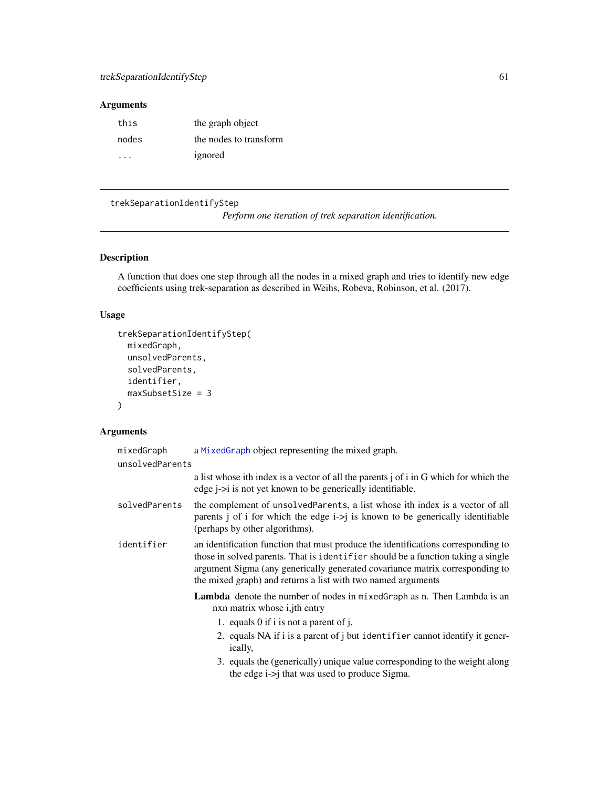# <span id="page-60-0"></span>Arguments

| this      | the graph object       |
|-----------|------------------------|
| nodes     | the nodes to transform |
| $\cdot$ . | ignored                |

<span id="page-60-1"></span>trekSeparationIdentifyStep

*Perform one iteration of trek separation identification.*

# Description

A function that does one step through all the nodes in a mixed graph and tries to identify new edge coefficients using trek-separation as described in Weihs, Robeva, Robinson, et al. (2017).

# Usage

```
trekSeparationIdentifyStep(
 mixedGraph,
 unsolvedParents,
  solvedParents,
  identifier,
 maxSubsetSize = 3
)
```

| mixedGraph                                                                                                                      | a Mixed Graph object representing the mixed graph.                                                                                                                                                                                                                                                                    |  |
|---------------------------------------------------------------------------------------------------------------------------------|-----------------------------------------------------------------------------------------------------------------------------------------------------------------------------------------------------------------------------------------------------------------------------------------------------------------------|--|
| unsolvedParents                                                                                                                 |                                                                                                                                                                                                                                                                                                                       |  |
|                                                                                                                                 | a list whose ith index is a vector of all the parents j of i in G which for which the<br>edge <i>j</i> -> <i>i</i> is not yet known to be generically identifiable.                                                                                                                                                   |  |
| solvedParents                                                                                                                   | the complement of unsolved Parents, a list whose ith index is a vector of all<br>parents j of i for which the edge $i$ ->j is known to be generically identifiable<br>(perhaps by other algorithms).                                                                                                                  |  |
| identifier                                                                                                                      | an identification function that must produce the identifications corresponding to<br>those in solved parents. That is identifier should be a function taking a single<br>argument Sigma (any generically generated covariance matrix corresponding to<br>the mixed graph) and returns a list with two named arguments |  |
| <b>Lambda</b> denote the number of nodes in mixed Graph as n. Then Lambda is an<br>nxn matrix whose <i>i</i> , <i>ith</i> entry |                                                                                                                                                                                                                                                                                                                       |  |
|                                                                                                                                 | 1. equals 0 if i is not a parent of j,                                                                                                                                                                                                                                                                                |  |
|                                                                                                                                 | 2. equals NA if i is a parent of j but identifier cannot identify it gener-<br>ically,                                                                                                                                                                                                                                |  |
|                                                                                                                                 | 3. equals the (generically) unique value corresponding to the weight along<br>the edge $i \rightarrow j$ that was used to produce Sigma.                                                                                                                                                                              |  |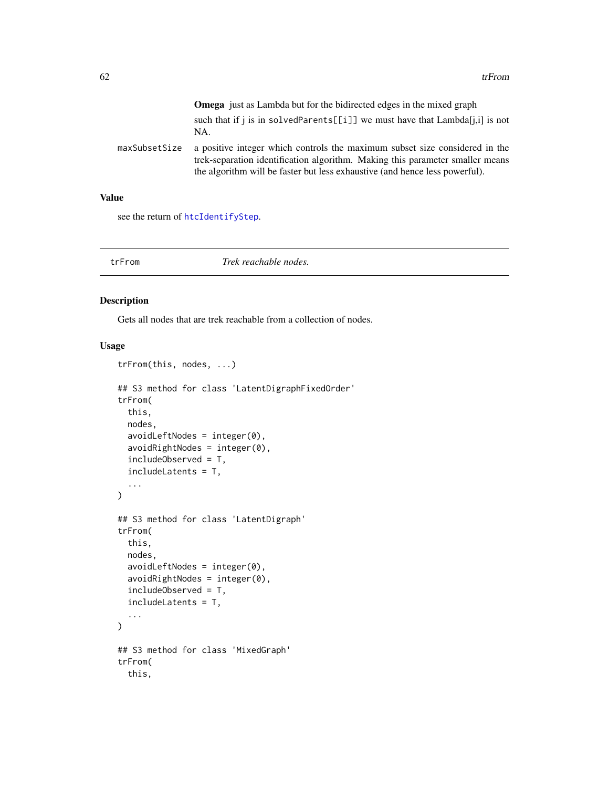<span id="page-61-0"></span>

|               | <b>Omega</b> just as Lambda but for the bidirected edges in the mixed graph                                                                                                                                                                 |
|---------------|---------------------------------------------------------------------------------------------------------------------------------------------------------------------------------------------------------------------------------------------|
|               | such that if j is in solved Parents [[i]] we must have that $\text{Lambda}[i,j]$ is not<br>NA.                                                                                                                                              |
| maxSubsetSize | a positive integer which controls the maximum subset size considered in the<br>trek-separation identification algorithm. Making this parameter smaller means<br>the algorithm will be faster but less exhaustive (and hence less powerful). |

# Value

see the return of [htcIdentifyStep](#page-35-1).

# trFrom *Trek reachable nodes.*

# Description

Gets all nodes that are trek reachable from a collection of nodes.

```
trFrom(this, nodes, ...)
## S3 method for class 'LatentDigraphFixedOrder'
trFrom(
 this,
 nodes,
  avoidLeftNodes = integer(0),
  avoidRightNodes = integer(0),
  includeObserved = T,
  includeLatents = T,
  ...
\mathcal{L}## S3 method for class 'LatentDigraph'
trFrom(
 this,
 nodes,
  avoidLeftNodes = integer(0),
  avoidRightNodes = integer(0),
  includeObserved = T,
  includeLatents = T,
  ...
\mathcal{L}## S3 method for class 'MixedGraph'
trFrom(
  this,
```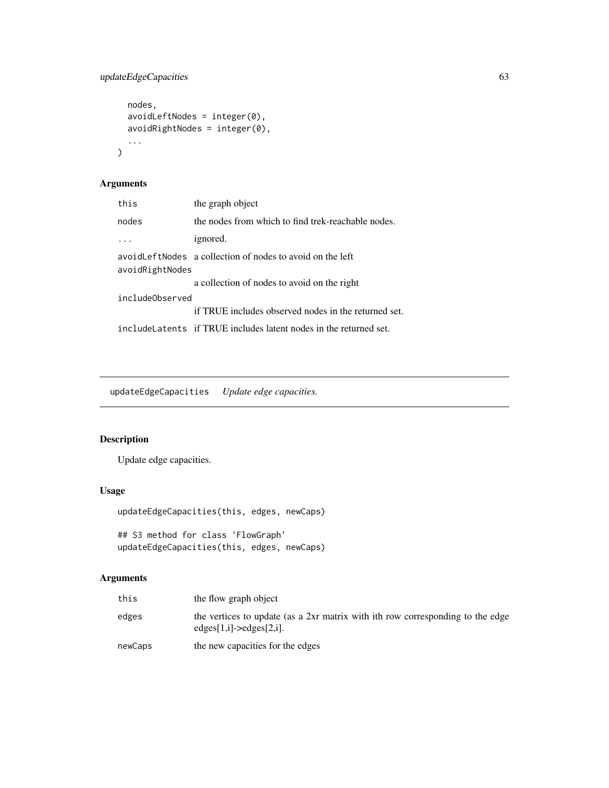```
nodes,
 avoidLeftNodes = integer(0),
 avoidRightNodes = integer(0),
  ...
)
```
# Arguments

| this            | the graph object                                                   |
|-----------------|--------------------------------------------------------------------|
| nodes           | the nodes from which to find trek-reachable nodes.                 |
| .               | ignored.                                                           |
| avoidRightNodes | avoid Left Nodes a collection of nodes to avoid on the left        |
|                 | a collection of nodes to avoid on the right                        |
| includeObserved |                                                                    |
|                 | if TRUE includes observed nodes in the returned set.               |
|                 | include Latents if TRUE includes latent nodes in the returned set. |

updateEdgeCapacities *Update edge capacities.*

# Description

Update edge capacities.

# Usage

```
updateEdgeCapacities(this, edges, newCaps)
```

```
## S3 method for class 'FlowGraph'
updateEdgeCapacities(this, edges, newCaps)
```

| this    | the flow graph object                                                                                                  |
|---------|------------------------------------------------------------------------------------------------------------------------|
| edges   | the vertices to update (as a 2xr matrix with ith row corresponding to the edge<br>$edges[1,i] \rightarrow edges[2,i].$ |
| newCaps | the new capacities for the edges                                                                                       |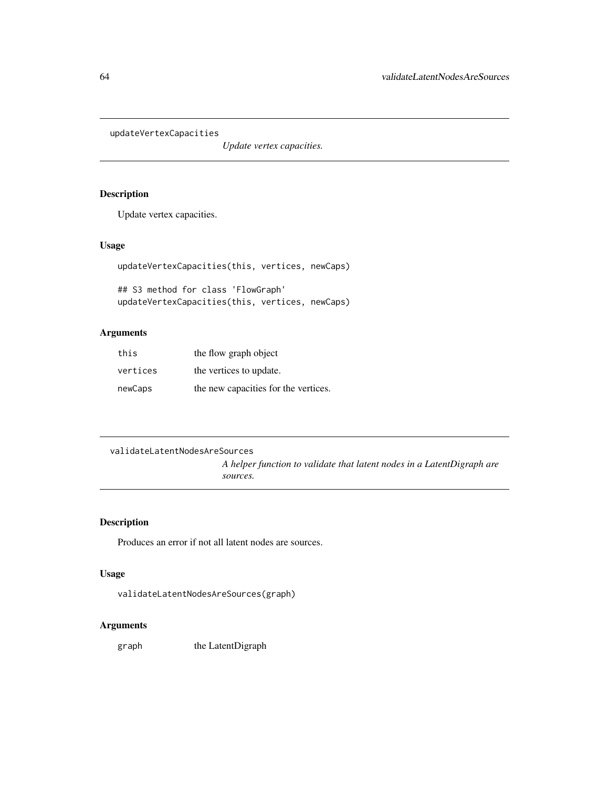<span id="page-63-0"></span>updateVertexCapacities

*Update vertex capacities.*

#### Description

Update vertex capacities.

# Usage

updateVertexCapacities(this, vertices, newCaps)

```
## S3 method for class 'FlowGraph'
updateVertexCapacities(this, vertices, newCaps)
```
# Arguments

| this     | the flow graph object                |
|----------|--------------------------------------|
| vertices | the vertices to update.              |
| newCaps  | the new capacities for the vertices. |

```
validateLatentNodesAreSources
```
*A helper function to validate that latent nodes in a LatentDigraph are sources.*

# Description

Produces an error if not all latent nodes are sources.

# Usage

```
validateLatentNodesAreSources(graph)
```
# Arguments

graph the LatentDigraph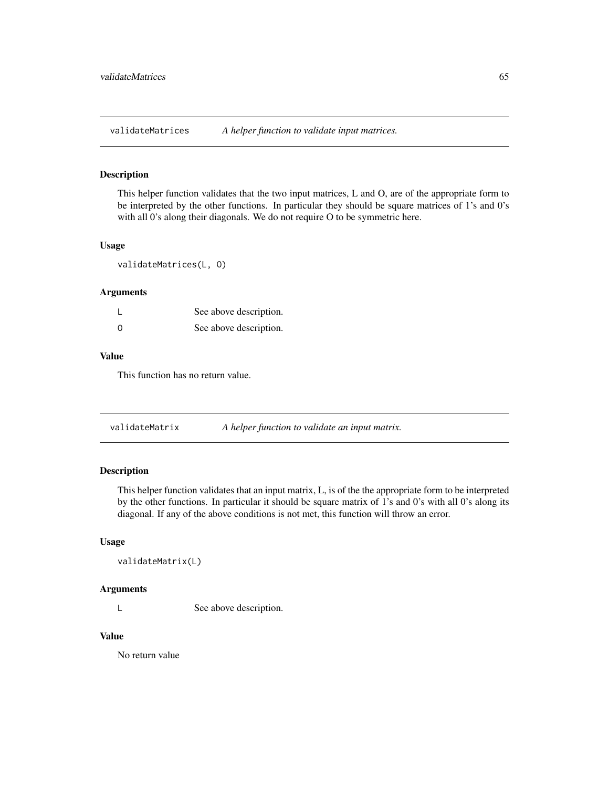<span id="page-64-0"></span>validateMatrices *A helper function to validate input matrices.*

# Description

This helper function validates that the two input matrices, L and O, are of the appropriate form to be interpreted by the other functions. In particular they should be square matrices of 1's and 0's with all 0's along their diagonals. We do not require O to be symmetric here.

#### Usage

validateMatrices(L, O)

#### Arguments

|          | See above description. |
|----------|------------------------|
| $\Omega$ | See above description. |

#### Value

This function has no return value.

validateMatrix *A helper function to validate an input matrix.*

# Description

This helper function validates that an input matrix, L, is of the the appropriate form to be interpreted by the other functions. In particular it should be square matrix of 1's and 0's with all 0's along its diagonal. If any of the above conditions is not met, this function will throw an error.

#### Usage

```
validateMatrix(L)
```
#### Arguments

L See above description.

#### Value

No return value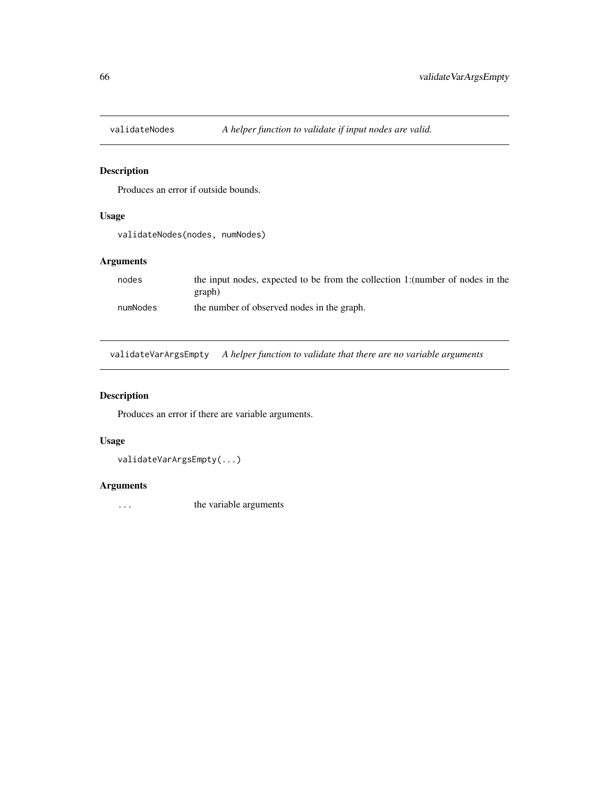<span id="page-65-0"></span>

Produces an error if outside bounds.

# Usage

```
validateNodes(nodes, numNodes)
```
# Arguments

| nodes    | the input nodes, expected to be from the collection 1: (number of nodes in the |
|----------|--------------------------------------------------------------------------------|
|          | graph)                                                                         |
| numNodes | the number of observed nodes in the graph.                                     |

validateVarArgsEmpty *A helper function to validate that there are no variable arguments*

# Description

Produces an error if there are variable arguments.

#### Usage

validateVarArgsEmpty(...)

# Arguments

... the variable arguments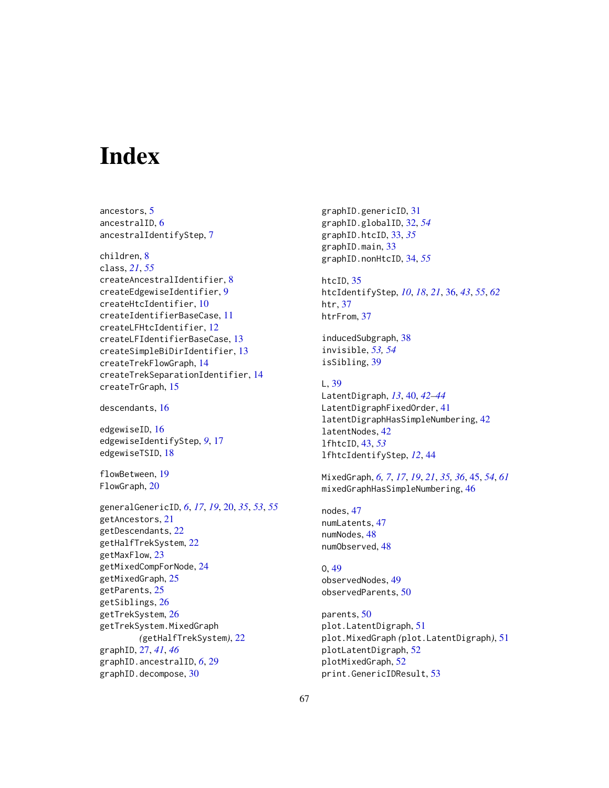# <span id="page-66-0"></span>**Index**

ancestors, [5](#page-4-0) ancestralID, [6](#page-5-0) ancestralIdentifyStep, [7](#page-6-0) children, [8](#page-7-0) class, *[21](#page-20-0)*, *[55](#page-54-0)* createAncestralIdentifier, [8](#page-7-0) createEdgewiseIdentifier, [9](#page-8-0) createHtcIdentifier, [10](#page-9-0) createIdentifierBaseCase, [11](#page-10-0) createLFHtcIdentifier, [12](#page-11-0) createLFIdentifierBaseCase, [13](#page-12-0) createSimpleBiDirIdentifier, [13](#page-12-0) createTrekFlowGraph, [14](#page-13-0) createTrekSeparationIdentifier, [14](#page-13-0) createTrGraph, [15](#page-14-0) descendants, [16](#page-15-0)

edgewiseID, [16](#page-15-0) edgewiseIdentifyStep, *[9](#page-8-0)*, [17](#page-16-0) edgewiseTSID, [18](#page-17-0)

flowBetween, [19](#page-18-0) FlowGraph, [20](#page-19-0)

generalGenericID, *[6](#page-5-0)*, *[17](#page-16-0)*, *[19](#page-18-0)*, [20,](#page-19-0) *[35](#page-34-0)*, *[53](#page-52-0)*, *[55](#page-54-0)* getAncestors, [21](#page-20-0) getDescendants, [22](#page-21-0) getHalfTrekSystem, [22](#page-21-0) getMaxFlow, [23](#page-22-0) getMixedCompForNode, [24](#page-23-0) getMixedGraph, [25](#page-24-0) getParents, [25](#page-24-0) getSiblings, [26](#page-25-0) getTrekSystem, [26](#page-25-0) getTrekSystem.MixedGraph *(*getHalfTrekSystem*)*, [22](#page-21-0) graphID, [27,](#page-26-0) *[41](#page-40-0)*, *[46](#page-45-0)* graphID.ancestralID, *[6](#page-5-0)*, [29](#page-28-0) graphID.decompose, [30](#page-29-0)

graphID.genericID, [31](#page-30-0) graphID.globalID, [32,](#page-31-0) *[54](#page-53-0)* graphID.htcID, [33,](#page-32-0) *[35](#page-34-0)* graphID.main, [33](#page-32-0) graphID.nonHtcID, [34,](#page-33-0) *[55](#page-54-0)*

htcID, [35](#page-34-0) htcIdentifyStep, *[10](#page-9-0)*, *[18](#page-17-0)*, *[21](#page-20-0)*, [36,](#page-35-0) *[43](#page-42-0)*, *[55](#page-54-0)*, *[62](#page-61-0)* htr, [37](#page-36-0) htrFrom, [37](#page-36-0)

inducedSubgraph, [38](#page-37-0) invisible, *[53,](#page-52-0) [54](#page-53-0)* isSibling, [39](#page-38-0)

# L, [39](#page-38-0)

LatentDigraph, *[13](#page-12-0)*, [40,](#page-39-0) *[42](#page-41-0)[–44](#page-43-0)* LatentDigraphFixedOrder, [41](#page-40-0) latentDigraphHasSimpleNumbering, [42](#page-41-0) latentNodes, [42](#page-41-0) lfhtcID, [43,](#page-42-0) *[53](#page-52-0)* lfhtcIdentifyStep, *[12](#page-11-0)*, [44](#page-43-0)

MixedGraph, *[6,](#page-5-0) [7](#page-6-0)*, *[17](#page-16-0)*, *[19](#page-18-0)*, *[21](#page-20-0)*, *[35,](#page-34-0) [36](#page-35-0)*, [45,](#page-44-0) *[54](#page-53-0)*, *[61](#page-60-0)* mixedGraphHasSimpleNumbering, [46](#page-45-0)

nodes, [47](#page-46-0) numLatents, [47](#page-46-0) numNodes, [48](#page-47-0) numObserved, [48](#page-47-0)

O, [49](#page-48-0) observedNodes, [49](#page-48-0) observedParents, [50](#page-49-0)

parents, [50](#page-49-0) plot.LatentDigraph, [51](#page-50-0) plot.MixedGraph *(*plot.LatentDigraph*)*, [51](#page-50-0) plotLatentDigraph, [52](#page-51-0) plotMixedGraph, [52](#page-51-0) print.GenericIDResult, [53](#page-52-0)